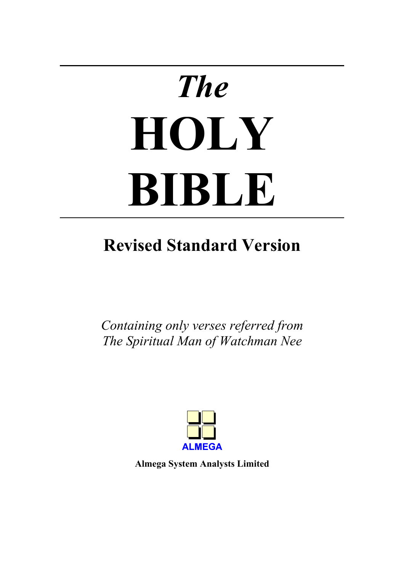# *The*  **HOLY BIBLE**

# **Revised Standard Version**

*Containing only verses referred from The Spiritual Man of Watchman Nee* 



**Almega System Analysts Limited**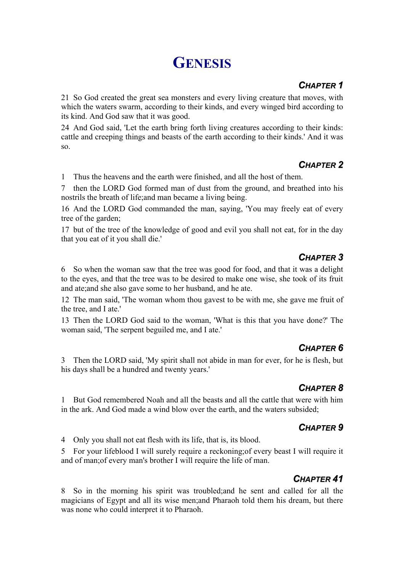# **GENESIS**

#### *CHAPTER 1*

21 So God created the great sea monsters and every living creature that moves, with which the waters swarm, according to their kinds, and every winged bird according to its kind. And God saw that it was good.

24 And God said, 'Let the earth bring forth living creatures according to their kinds: cattle and creeping things and beasts of the earth according to their kinds.' And it was so.

# *CHAPTER 2*

1 Thus the heavens and the earth were finished, and all the host of them.

7 then the LORD God formed man of dust from the ground, and breathed into his nostrils the breath of life;and man became a living being.

16 And the LORD God commanded the man, saying, 'You may freely eat of every tree of the garden;

17 but of the tree of the knowledge of good and evil you shall not eat, for in the day that you eat of it you shall die.'

# *CHAPTER 3*

6 So when the woman saw that the tree was good for food, and that it was a delight to the eyes, and that the tree was to be desired to make one wise, she took of its fruit and ate;and she also gave some to her husband, and he ate.

12 The man said, 'The woman whom thou gavest to be with me, she gave me fruit of the tree, and I ate.'

13 Then the LORD God said to the woman, 'What is this that you have done?' The woman said, 'The serpent beguiled me, and I ate.'

# *CHAPTER 6*

3 Then the LORD said, 'My spirit shall not abide in man for ever, for he is flesh, but his days shall be a hundred and twenty years.'

# *CHAPTER 8*

1 But God remembered Noah and all the beasts and all the cattle that were with him in the ark. And God made a wind blow over the earth, and the waters subsided;

# *CHAPTER 9*

4 Only you shall not eat flesh with its life, that is, its blood.

5 For your lifeblood I will surely require a reckoning;of every beast I will require it and of man;of every man's brother I will require the life of man.

# *CHAPTER 41*

8 So in the morning his spirit was troubled;and he sent and called for all the magicians of Egypt and all its wise men;and Pharaoh told them his dream, but there was none who could interpret it to Pharaoh.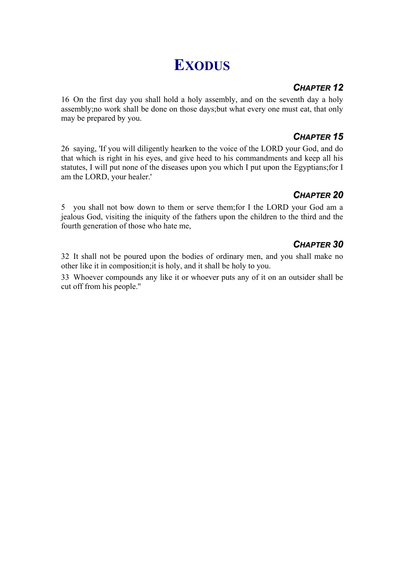# **EXODUS**

#### *CHAPTER 12*

16 On the first day you shall hold a holy assembly, and on the seventh day a holy assembly;no work shall be done on those days;but what every one must eat, that only may be prepared by you.

#### *CHAPTER 15*

26 saying, 'If you will diligently hearken to the voice of the LORD your God, and do that which is right in his eyes, and give heed to his commandments and keep all his statutes, I will put none of the diseases upon you which I put upon the Egyptians;for I am the LORD, your healer.'

#### *CHAPTER 20*

5 you shall not bow down to them or serve them;for I the LORD your God am a jealous God, visiting the iniquity of the fathers upon the children to the third and the fourth generation of those who hate me,

# *CHAPTER 30*

32 It shall not be poured upon the bodies of ordinary men, and you shall make no other like it in composition;it is holy, and it shall be holy to you.

33 Whoever compounds any like it or whoever puts any of it on an outsider shall be cut off from his people.''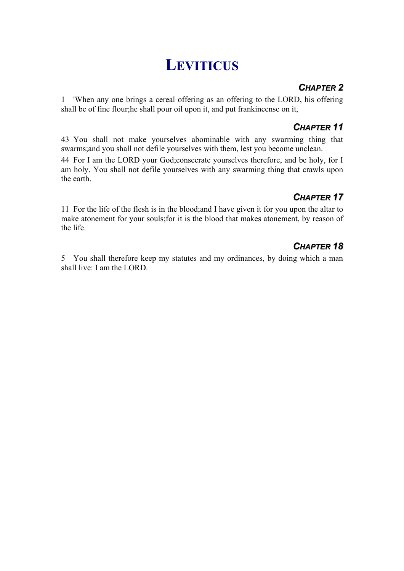# **LEVITICUS**

### *CHAPTER 2*

1 'When any one brings a cereal offering as an offering to the LORD, his offering shall be of fine flour;he shall pour oil upon it, and put frankincense on it,

### *CHAPTER 11*

43 You shall not make yourselves abominable with any swarming thing that swarms;and you shall not defile yourselves with them, lest you become unclean.

44 For I am the LORD your God;consecrate yourselves therefore, and be holy, for I am holy. You shall not defile yourselves with any swarming thing that crawls upon the earth.

### *CHAPTER 17*

11 For the life of the flesh is in the blood;and I have given it for you upon the altar to make atonement for your souls;for it is the blood that makes atonement, by reason of the life.

# *CHAPTER 18*

5 You shall therefore keep my statutes and my ordinances, by doing which a man shall live: I am the LORD.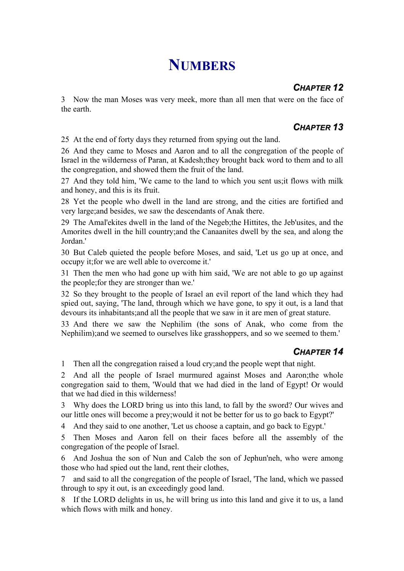# **NUMBERS**

# *CHAPTER 12*

3 Now the man Moses was very meek, more than all men that were on the face of the earth.

# *CHAPTER 13*

25 At the end of forty days they returned from spying out the land.

26 And they came to Moses and Aaron and to all the congregation of the people of Israel in the wilderness of Paran, at Kadesh;they brought back word to them and to all the congregation, and showed them the fruit of the land.

27 And they told him, 'We came to the land to which you sent us;it flows with milk and honey, and this is its fruit.

28 Yet the people who dwell in the land are strong, and the cities are fortified and very large;and besides, we saw the descendants of Anak there.

29 The Amal'ekites dwell in the land of the Negeb;the Hittites, the Jeb'usites, and the Amorites dwell in the hill country;and the Canaanites dwell by the sea, and along the Jordan.'

30 But Caleb quieted the people before Moses, and said, 'Let us go up at once, and occupy it;for we are well able to overcome it.'

31 Then the men who had gone up with him said, 'We are not able to go up against the people;for they are stronger than we.'

32 So they brought to the people of Israel an evil report of the land which they had spied out, saying, 'The land, through which we have gone, to spy it out, is a land that devours its inhabitants;and all the people that we saw in it are men of great stature.

33 And there we saw the Nephilim (the sons of Anak, who come from the Nephilim);and we seemed to ourselves like grasshoppers, and so we seemed to them.'

#### *CHAPTER 14*

1 Then all the congregation raised a loud cry;and the people wept that night.

2 And all the people of Israel murmured against Moses and Aaron;the whole congregation said to them, 'Would that we had died in the land of Egypt! Or would that we had died in this wilderness!

3 Why does the LORD bring us into this land, to fall by the sword? Our wives and our little ones will become a prey;would it not be better for us to go back to Egypt?'

4 And they said to one another, 'Let us choose a captain, and go back to Egypt.'

5 Then Moses and Aaron fell on their faces before all the assembly of the congregation of the people of Israel.

6 And Joshua the son of Nun and Caleb the son of Jephun'neh, who were among those who had spied out the land, rent their clothes,

7 and said to all the congregation of the people of Israel, 'The land, which we passed through to spy it out, is an exceedingly good land.

8 If the LORD delights in us, he will bring us into this land and give it to us, a land which flows with milk and honey.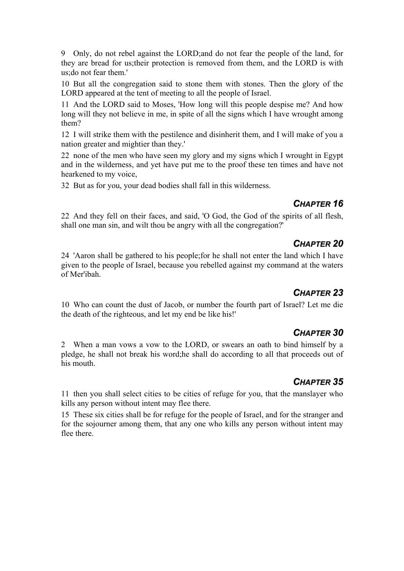9 Only, do not rebel against the LORD;and do not fear the people of the land, for they are bread for us;their protection is removed from them, and the LORD is with us; do not fear them.'

10 But all the congregation said to stone them with stones. Then the glory of the LORD appeared at the tent of meeting to all the people of Israel.

11 And the LORD said to Moses, 'How long will this people despise me? And how long will they not believe in me, in spite of all the signs which I have wrought among them?

12 I will strike them with the pestilence and disinherit them, and I will make of you a nation greater and mightier than they.'

22 none of the men who have seen my glory and my signs which I wrought in Egypt and in the wilderness, and yet have put me to the proof these ten times and have not hearkened to my voice,

32 But as for you, your dead bodies shall fall in this wilderness.

#### *CHAPTER 16*

22 And they fell on their faces, and said, 'O God, the God of the spirits of all flesh, shall one man sin, and wilt thou be angry with all the congregation?'

#### *CHAPTER 20*

24 'Aaron shall be gathered to his people;for he shall not enter the land which I have given to the people of Israel, because you rebelled against my command at the waters of Mer'ibah.

#### *CHAPTER 23*

10 Who can count the dust of Jacob, or number the fourth part of Israel? Let me die the death of the righteous, and let my end be like his!'

#### *CHAPTER 30*

2 When a man vows a vow to the LORD, or swears an oath to bind himself by a pledge, he shall not break his word;he shall do according to all that proceeds out of his mouth.

#### *CHAPTER 35*

11 then you shall select cities to be cities of refuge for you, that the manslayer who kills any person without intent may flee there.

15 These six cities shall be for refuge for the people of Israel, and for the stranger and for the sojourner among them, that any one who kills any person without intent may flee there.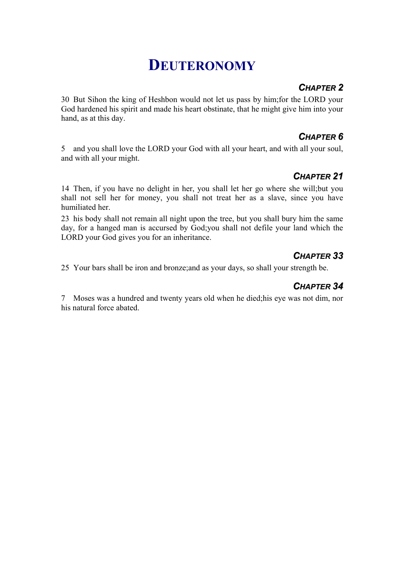# **DEUTERONOMY**

#### *CHAPTER 2*

30 But Sihon the king of Heshbon would not let us pass by him;for the LORD your God hardened his spirit and made his heart obstinate, that he might give him into your hand, as at this day.

### *CHAPTER 6*

5 and you shall love the LORD your God with all your heart, and with all your soul, and with all your might.

# *CHAPTER 21*

14 Then, if you have no delight in her, you shall let her go where she will;but you shall not sell her for money, you shall not treat her as a slave, since you have humiliated her.

23 his body shall not remain all night upon the tree, but you shall bury him the same day, for a hanged man is accursed by God;you shall not defile your land which the LORD your God gives you for an inheritance.

# *CHAPTER 33*

25 Your bars shall be iron and bronze;and as your days, so shall your strength be.

### *CHAPTER 34*

7 Moses was a hundred and twenty years old when he died;his eye was not dim, nor his natural force abated.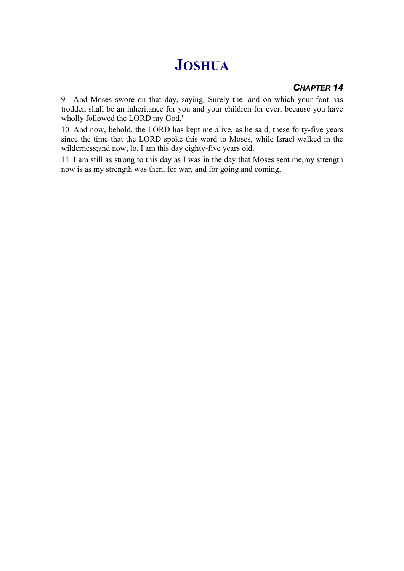# **JOSHUA**

#### *CHAPTER 14*

9 And Moses swore on that day, saying, Surely the land on which your foot has trodden shall be an inheritance for you and your children for ever, because you have wholly followed the LORD my God.'

10 And now, behold, the LORD has kept me alive, as he said, these forty-five years since the time that the LORD spoke this word to Moses, while Israel walked in the wilderness;and now, lo, I am this day eighty-five years old.

11 I am still as strong to this day as I was in the day that Moses sent me;my strength now is as my strength was then, for war, and for going and coming.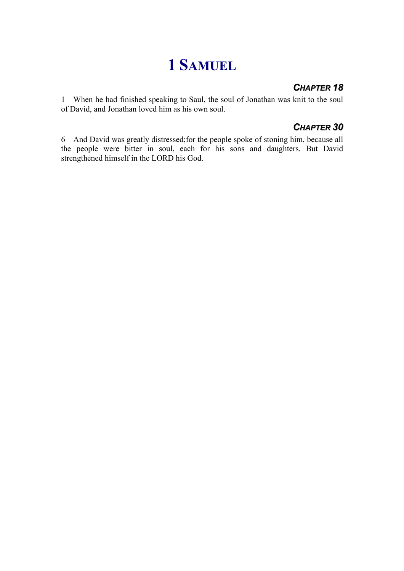# **1 SAMUEL**

### *CHAPTER 18*

1 When he had finished speaking to Saul, the soul of Jonathan was knit to the soul of David, and Jonathan loved him as his own soul.

#### *CHAPTER 30*

6 And David was greatly distressed;for the people spoke of stoning him, because all the people were bitter in soul, each for his sons and daughters. But David strengthened himself in the LORD his God.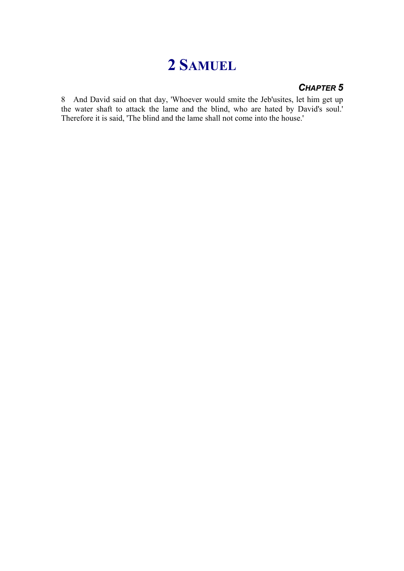# **2 SAMUEL**

#### *CHAPTER 5*

8 And David said on that day, 'Whoever would smite the Jeb'usites, let him get up the water shaft to attack the lame and the blind, who are hated by David's soul.' Therefore it is said, 'The blind and the lame shall not come into the house.'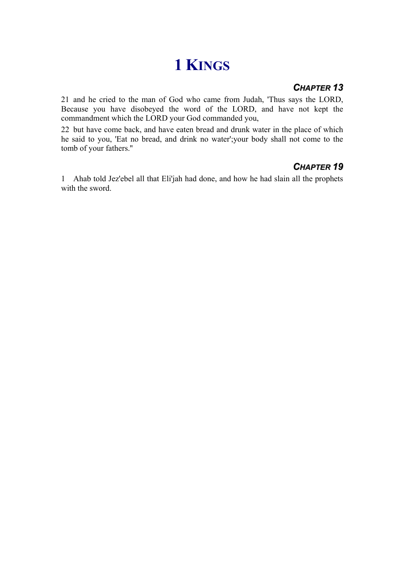# **1 KINGS**

#### *CHAPTER 13*

21 and he cried to the man of God who came from Judah, 'Thus says the LORD, Because you have disobeyed the word of the LORD, and have not kept the commandment which the LORD your God commanded you,

22 but have come back, and have eaten bread and drunk water in the place of which he said to you, 'Eat no bread, and drink no water';your body shall not come to the tomb of your fathers.''

# *CHAPTER 19*

1 Ahab told Jez'ebel all that Eli'jah had done, and how he had slain all the prophets with the sword.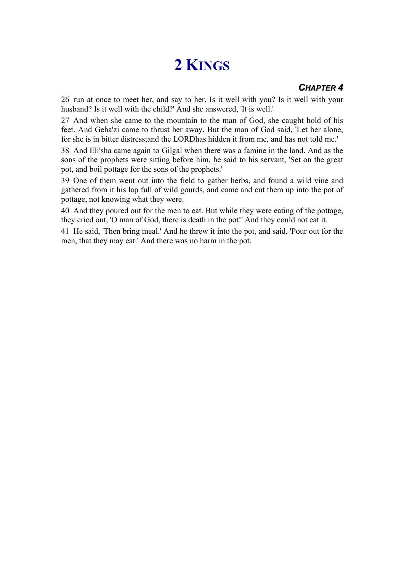# **2 KINGS**

#### *CHAPTER 4*

26 run at once to meet her, and say to her, Is it well with you? Is it well with your husband? Is it well with the child?' And she answered, 'It is well.'

27 And when she came to the mountain to the man of God, she caught hold of his feet. And Geha'zi came to thrust her away. But the man of God said, 'Let her alone, for she is in bitter distress;and the LORDhas hidden it from me, and has not told me.'

38 And Eli'sha came again to Gilgal when there was a famine in the land. And as the sons of the prophets were sitting before him, he said to his servant, 'Set on the great pot, and boil pottage for the sons of the prophets.'

39 One of them went out into the field to gather herbs, and found a wild vine and gathered from it his lap full of wild gourds, and came and cut them up into the pot of pottage, not knowing what they were.

40 And they poured out for the men to eat. But while they were eating of the pottage, they cried out, 'O man of God, there is death in the pot!' And they could not eat it.

41 He said, 'Then bring meal.' And he threw it into the pot, and said, 'Pour out for the men, that they may eat.' And there was no harm in the pot.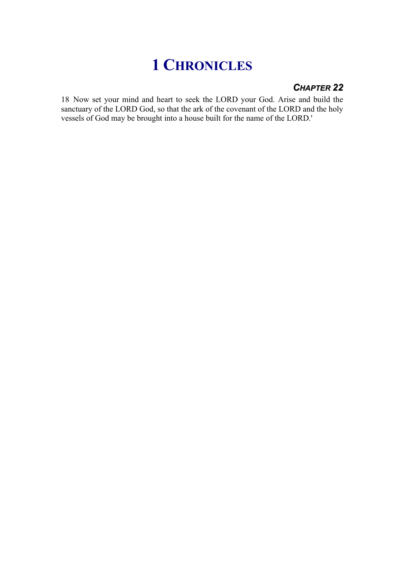# **1 CHRONICLES**

#### *CHAPTER 22*

18 Now set your mind and heart to seek the LORD your God. Arise and build the sanctuary of the LORD God, so that the ark of the covenant of the LORD and the holy vessels of God may be brought into a house built for the name of the LORD.'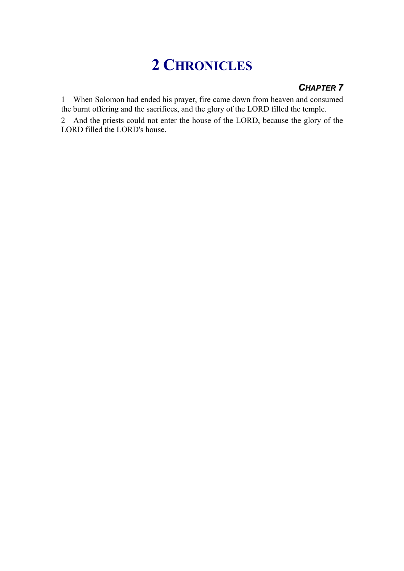# **2 CHRONICLES**

# *CHAPTER 7*

1 When Solomon had ended his prayer, fire came down from heaven and consumed the burnt offering and the sacrifices, and the glory of the LORD filled the temple.

2 And the priests could not enter the house of the LORD, because the glory of the LORD filled the LORD's house.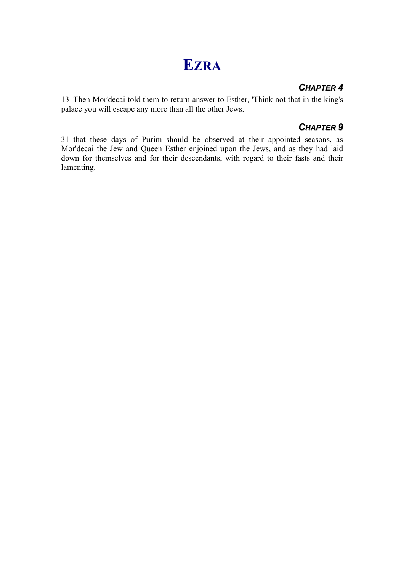# **EZRA**

#### *CHAPTER 4*

13 Then Mor'decai told them to return answer to Esther, 'Think not that in the king's palace you will escape any more than all the other Jews.

#### *CHAPTER 9*

31 that these days of Purim should be observed at their appointed seasons, as Mor'decai the Jew and Queen Esther enjoined upon the Jews, and as they had laid down for themselves and for their descendants, with regard to their fasts and their lamenting.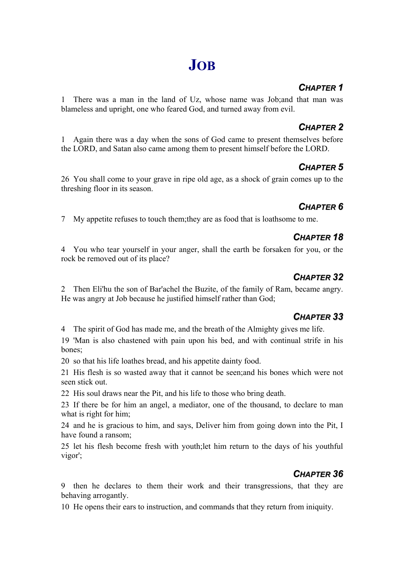# **JOB**

# *CHAPTER 1*

1 There was a man in the land of Uz, whose name was Job;and that man was blameless and upright, one who feared God, and turned away from evil.

# *CHAPTER 2*

1 Again there was a day when the sons of God came to present themselves before the LORD, and Satan also came among them to present himself before the LORD.

# *CHAPTER 5*

26 You shall come to your grave in ripe old age, as a shock of grain comes up to the threshing floor in its season.

# *CHAPTER 6*

7 My appetite refuses to touch them;they are as food that is loathsome to me.

# *CHAPTER 18*

4 You who tear yourself in your anger, shall the earth be forsaken for you, or the rock be removed out of its place?

# *CHAPTER 32*

2 Then Eli'hu the son of Bar'achel the Buzite, of the family of Ram, became angry. He was angry at Job because he justified himself rather than God;

# *CHAPTER 33*

4 The spirit of God has made me, and the breath of the Almighty gives me life.

19 'Man is also chastened with pain upon his bed, and with continual strife in his bones;

20 so that his life loathes bread, and his appetite dainty food.

21 His flesh is so wasted away that it cannot be seen;and his bones which were not seen stick out.

22 His soul draws near the Pit, and his life to those who bring death.

23 If there be for him an angel, a mediator, one of the thousand, to declare to man what is right for him;

24 and he is gracious to him, and says, Deliver him from going down into the Pit, I have found a ransom;

25 let his flesh become fresh with youth;let him return to the days of his youthful vigor';

# *CHAPTER 36*

9 then he declares to them their work and their transgressions, that they are behaving arrogantly.

10 He opens their ears to instruction, and commands that they return from iniquity.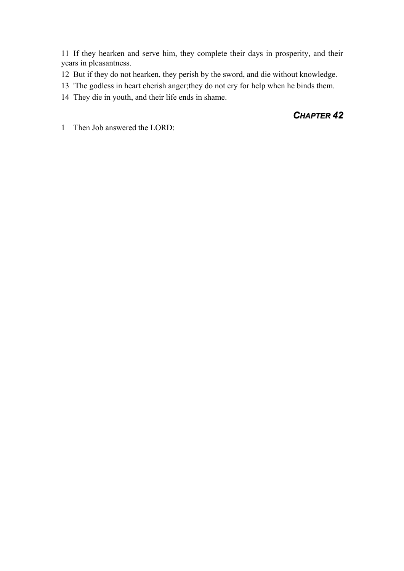11 If they hearken and serve him, they complete their days in prosperity, and their years in pleasantness.

- 12 But if they do not hearken, they perish by the sword, and die without knowledge.
- 13 'The godless in heart cherish anger;they do not cry for help when he binds them.
- 14 They die in youth, and their life ends in shame.

#### *CHAPTER 42*

1 Then Job answered the LORD: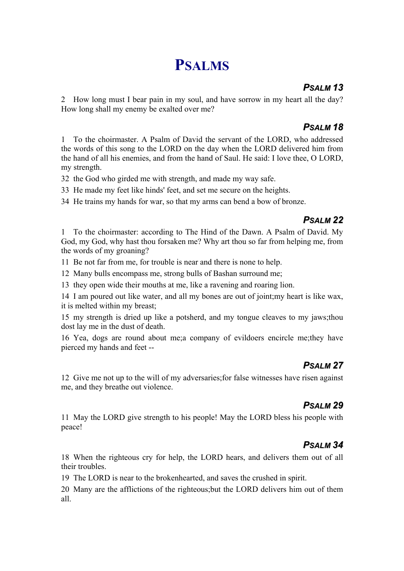# **PSALMS**

#### *PSALM 13*

2 How long must I bear pain in my soul, and have sorrow in my heart all the day? How long shall my enemy be exalted over me?

#### *PSALM 18*

1 To the choirmaster. A Psalm of David the servant of the LORD, who addressed the words of this song to the LORD on the day when the LORD delivered him from the hand of all his enemies, and from the hand of Saul. He said: I love thee, O LORD, my strength.

32 the God who girded me with strength, and made my way safe.

33 He made my feet like hinds' feet, and set me secure on the heights.

34 He trains my hands for war, so that my arms can bend a bow of bronze.

#### *PSALM 22*

1 To the choirmaster: according to The Hind of the Dawn. A Psalm of David. My God, my God, why hast thou forsaken me? Why art thou so far from helping me, from the words of my groaning?

11 Be not far from me, for trouble is near and there is none to help.

12 Many bulls encompass me, strong bulls of Bashan surround me;

13 they open wide their mouths at me, like a ravening and roaring lion.

14 I am poured out like water, and all my bones are out of joint;my heart is like wax, it is melted within my breast;

15 my strength is dried up like a potsherd, and my tongue cleaves to my jaws;thou dost lay me in the dust of death.

16 Yea, dogs are round about me;a company of evildoers encircle me;they have pierced my hands and feet --

# *PSALM 27*

12 Give me not up to the will of my adversaries;for false witnesses have risen against me, and they breathe out violence.

#### *PSALM 29*

11 May the LORD give strength to his people! May the LORD bless his people with peace!

#### *PSALM 34*

18 When the righteous cry for help, the LORD hears, and delivers them out of all their troubles.

19 The LORD is near to the brokenhearted, and saves the crushed in spirit.

20 Many are the afflictions of the righteous;but the LORD delivers him out of them all.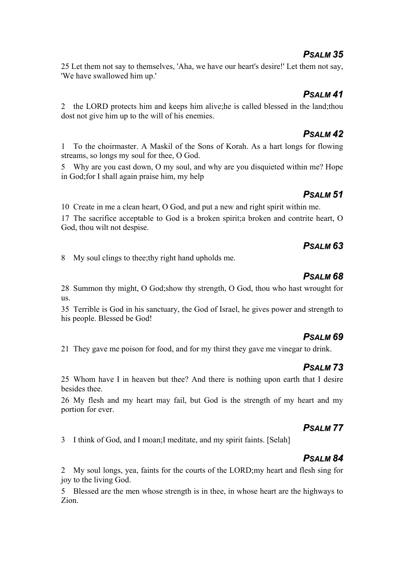#### *PSALM 35*

25 Let them not say to themselves, 'Aha, we have our heart's desire!' Let them not say, 'We have swallowed him up.'

#### *PSALM 41*

2 the LORD protects him and keeps him alive;he is called blessed in the land;thou dost not give him up to the will of his enemies.

#### *PSALM 42*

1 To the choirmaster. A Maskil of the Sons of Korah. As a hart longs for flowing streams, so longs my soul for thee, O God.

5 Why are you cast down, O my soul, and why are you disquieted within me? Hope in God;for I shall again praise him, my help

#### *PSALM 51*

10 Create in me a clean heart, O God, and put a new and right spirit within me.

17 The sacrifice acceptable to God is a broken spirit;a broken and contrite heart, O God, thou wilt not despise.

#### *PSALM 63*

8 My soul clings to thee;thy right hand upholds me.

#### *PSALM 68*

28 Summon thy might, O God;show thy strength, O God, thou who hast wrought for us.

35 Terrible is God in his sanctuary, the God of Israel, he gives power and strength to his people. Blessed be God!

#### *PSALM 69*

21 They gave me poison for food, and for my thirst they gave me vinegar to drink.

#### *PSALM 73*

25 Whom have I in heaven but thee? And there is nothing upon earth that I desire besides thee.

26 My flesh and my heart may fail, but God is the strength of my heart and my portion for ever.

#### *PSALM 77*

3 I think of God, and I moan;I meditate, and my spirit faints. [Selah]

# *PSALM 84*

2 My soul longs, yea, faints for the courts of the LORD;my heart and flesh sing for joy to the living God.

5 Blessed are the men whose strength is in thee, in whose heart are the highways to Zion.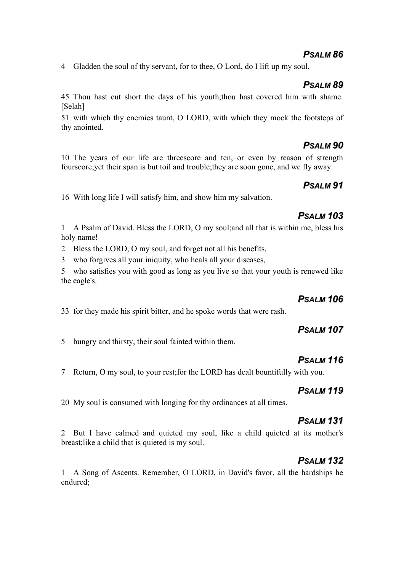#### *PSALM 86*

4 Gladden the soul of thy servant, for to thee, O Lord, do I lift up my soul.

#### *PSALM 89*

45 Thou hast cut short the days of his youth;thou hast covered him with shame. [Selah]

51 with which thy enemies taunt, O LORD, with which they mock the footsteps of thy anointed.

#### *PSALM 90*

10 The years of our life are threescore and ten, or even by reason of strength fourscore;yet their span is but toil and trouble;they are soon gone, and we fly away.

#### *PSALM 91*

16 With long life I will satisfy him, and show him my salvation.

#### *PSALM 103*

1 A Psalm of David. Bless the LORD, O my soul;and all that is within me, bless his holy name!

2 Bless the LORD, O my soul, and forget not all his benefits,

3 who forgives all your iniquity, who heals all your diseases,

5 who satisfies you with good as long as you live so that your youth is renewed like the eagle's.

#### *PSALM 106*

33 for they made his spirit bitter, and he spoke words that were rash.

#### *PSALM 107*

5 hungry and thirsty, their soul fainted within them.

#### *PSALM 116*

7 Return, O my soul, to your rest;for the LORD has dealt bountifully with you.

#### *PSALM 119*

20 My soul is consumed with longing for thy ordinances at all times.

#### *PSALM 131*

2 But I have calmed and quieted my soul, like a child quieted at its mother's breast;like a child that is quieted is my soul.

# *PSALM 132*

1 A Song of Ascents. Remember, O LORD, in David's favor, all the hardships he endured;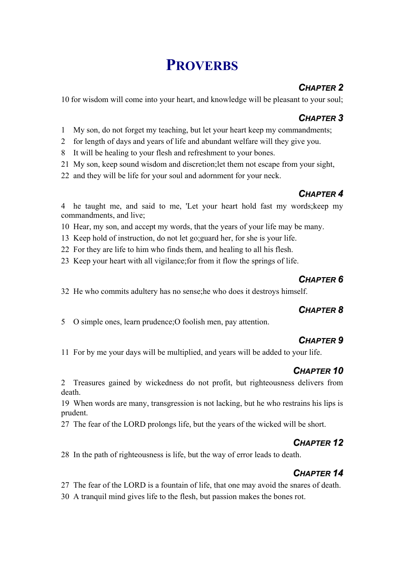# **PROVERBS**

# *CHAPTER 2*

10 for wisdom will come into your heart, and knowledge will be pleasant to your soul;

#### *CHAPTER 3*

- 1 My son, do not forget my teaching, but let your heart keep my commandments;
- 2 for length of days and years of life and abundant welfare will they give you.
- 8 It will be healing to your flesh and refreshment to your bones.
- 21 My son, keep sound wisdom and discretion;let them not escape from your sight,
- 22 and they will be life for your soul and adornment for your neck.

# *CHAPTER 4*

4 he taught me, and said to me, 'Let your heart hold fast my words;keep my commandments, and live;

- 10 Hear, my son, and accept my words, that the years of your life may be many.
- 13 Keep hold of instruction, do not let go;guard her, for she is your life.
- 22 For they are life to him who finds them, and healing to all his flesh.
- 23 Keep your heart with all vigilance;for from it flow the springs of life.

#### *CHAPTER 6*

32 He who commits adultery has no sense;he who does it destroys himself.

#### *CHAPTER 8*

5 O simple ones, learn prudence;O foolish men, pay attention.

# *CHAPTER 9*

11 For by me your days will be multiplied, and years will be added to your life.

# *CHAPTER 10*

2 Treasures gained by wickedness do not profit, but righteousness delivers from death.

19 When words are many, transgression is not lacking, but he who restrains his lips is prudent.

27 The fear of the LORD prolongs life, but the years of the wicked will be short.

# *CHAPTER 12*

28 In the path of righteousness is life, but the way of error leads to death.

# *CHAPTER 14*

27 The fear of the LORD is a fountain of life, that one may avoid the snares of death.

30 A tranquil mind gives life to the flesh, but passion makes the bones rot.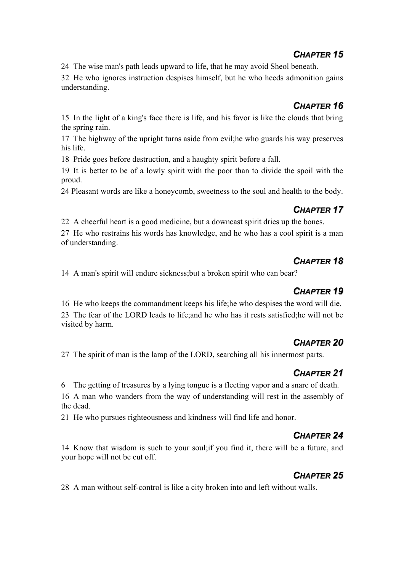#### *CHAPTER 15*

24 The wise man's path leads upward to life, that he may avoid Sheol beneath.

32 He who ignores instruction despises himself, but he who heeds admonition gains understanding.

#### *CHAPTER 16*

15 In the light of a king's face there is life, and his favor is like the clouds that bring the spring rain.

17 The highway of the upright turns aside from evil;he who guards his way preserves his life.

18 Pride goes before destruction, and a haughty spirit before a fall.

19 It is better to be of a lowly spirit with the poor than to divide the spoil with the proud.

24 Pleasant words are like a honeycomb, sweetness to the soul and health to the body.

### *CHAPTER 17*

22 A cheerful heart is a good medicine, but a downcast spirit dries up the bones.

27 He who restrains his words has knowledge, and he who has a cool spirit is a man of understanding.

#### *CHAPTER 18*

14 A man's spirit will endure sickness;but a broken spirit who can bear?

#### *CHAPTER 19*

16 He who keeps the commandment keeps his life;he who despises the word will die. 23 The fear of the LORD leads to life;and he who has it rests satisfied;he will not be visited by harm.

# *CHAPTER 20*

27 The spirit of man is the lamp of the LORD, searching all his innermost parts.

# *CHAPTER 21*

6 The getting of treasures by a lying tongue is a fleeting vapor and a snare of death. 16 A man who wanders from the way of understanding will rest in the assembly of the dead.

21 He who pursues righteousness and kindness will find life and honor.

# *CHAPTER 24*

14 Know that wisdom is such to your soul;if you find it, there will be a future, and your hope will not be cut off.

# *CHAPTER 25*

28 A man without self-control is like a city broken into and left without walls.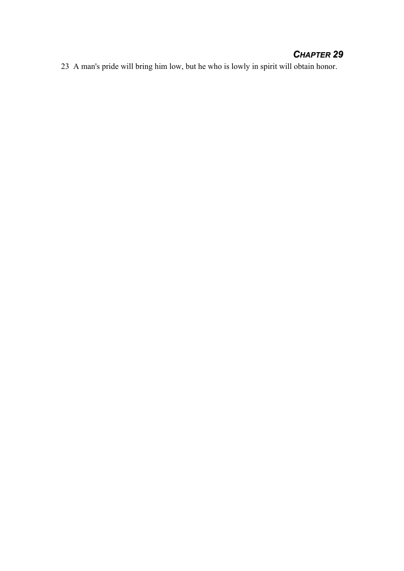#### *CHAPTER 29*

23 A man's pride will bring him low, but he who is lowly in spirit will obtain honor.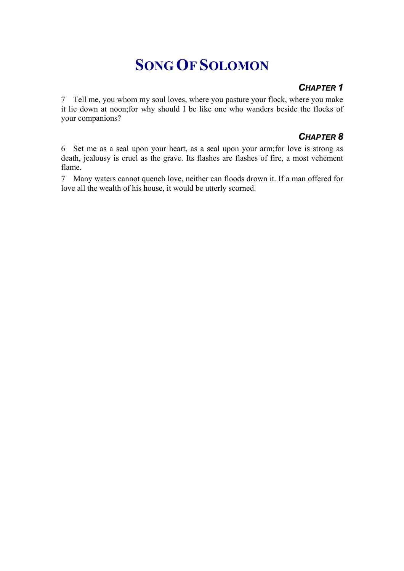# **SONG OF SOLOMON**

#### *CHAPTER 1*

7 Tell me, you whom my soul loves, where you pasture your flock, where you make it lie down at noon;for why should I be like one who wanders beside the flocks of your companions?

### *CHAPTER 8*

6 Set me as a seal upon your heart, as a seal upon your arm;for love is strong as death, jealousy is cruel as the grave. Its flashes are flashes of fire, a most vehement flame.

7 Many waters cannot quench love, neither can floods drown it. If a man offered for love all the wealth of his house, it would be utterly scorned.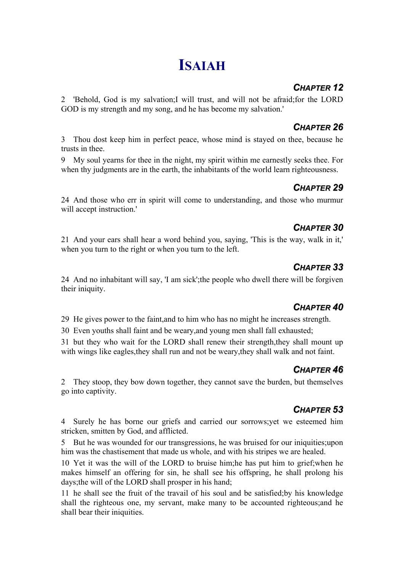# **ISAIAH**

# *CHAPTER 12*

2 'Behold, God is my salvation;I will trust, and will not be afraid;for the LORD GOD is my strength and my song, and he has become my salvation.'

# *CHAPTER 26*

3 Thou dost keep him in perfect peace, whose mind is stayed on thee, because he trusts in thee.

9 My soul yearns for thee in the night, my spirit within me earnestly seeks thee. For when thy judgments are in the earth, the inhabitants of the world learn righteousness.

# *CHAPTER 29*

24 And those who err in spirit will come to understanding, and those who murmur will accept instruction.'

# *CHAPTER 30*

21 And your ears shall hear a word behind you, saying, 'This is the way, walk in it,' when you turn to the right or when you turn to the left.

# *CHAPTER 33*

24 And no inhabitant will say, 'I am sick';the people who dwell there will be forgiven their iniquity.

# *CHAPTER 40*

29 He gives power to the faint,and to him who has no might he increases strength.

30 Even youths shall faint and be weary,and young men shall fall exhausted;

31 but they who wait for the LORD shall renew their strength,they shall mount up with wings like eagles,they shall run and not be weary,they shall walk and not faint.

# *CHAPTER 46*

2 They stoop, they bow down together, they cannot save the burden, but themselves go into captivity.

# *CHAPTER 53*

4 Surely he has borne our griefs and carried our sorrows;yet we esteemed him stricken, smitten by God, and afflicted.

5 But he was wounded for our transgressions, he was bruised for our iniquities;upon him was the chastisement that made us whole, and with his stripes we are healed.

10 Yet it was the will of the LORD to bruise him;he has put him to grief;when he makes himself an offering for sin, he shall see his offspring, he shall prolong his days;the will of the LORD shall prosper in his hand;

11 he shall see the fruit of the travail of his soul and be satisfied;by his knowledge shall the righteous one, my servant, make many to be accounted righteous;and he shall bear their iniquities.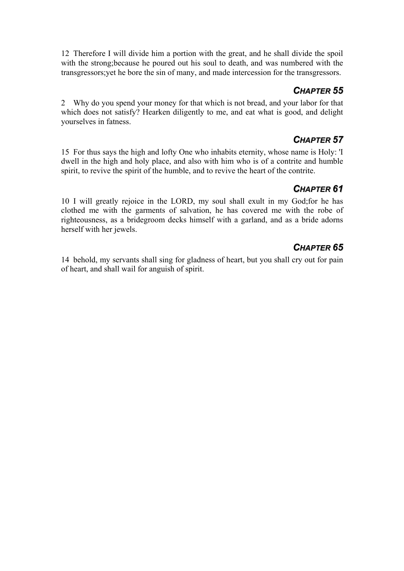12 Therefore I will divide him a portion with the great, and he shall divide the spoil with the strong;because he poured out his soul to death, and was numbered with the transgressors;yet he bore the sin of many, and made intercession for the transgressors.

#### *CHAPTER 55*

2 Why do you spend your money for that which is not bread, and your labor for that which does not satisfy? Hearken diligently to me, and eat what is good, and delight yourselves in fatness.

#### *CHAPTER 57*

15 For thus says the high and lofty One who inhabits eternity, whose name is Holy: 'I dwell in the high and holy place, and also with him who is of a contrite and humble spirit, to revive the spirit of the humble, and to revive the heart of the contrite.

#### *CHAPTER 61*

10 I will greatly rejoice in the LORD, my soul shall exult in my God;for he has clothed me with the garments of salvation, he has covered me with the robe of righteousness, as a bridegroom decks himself with a garland, and as a bride adorns herself with her jewels.

### *CHAPTER 65*

14 behold, my servants shall sing for gladness of heart, but you shall cry out for pain of heart, and shall wail for anguish of spirit.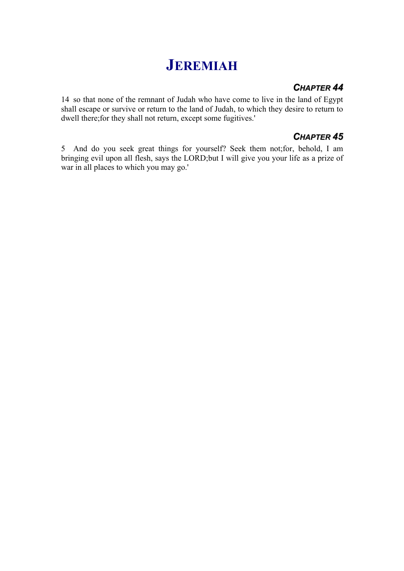# **JEREMIAH**

#### *CHAPTER 44*

14 so that none of the remnant of Judah who have come to live in the land of Egypt shall escape or survive or return to the land of Judah, to which they desire to return to dwell there;for they shall not return, except some fugitives.'

#### *CHAPTER 45*

5 And do you seek great things for yourself? Seek them not;for, behold, I am bringing evil upon all flesh, says the LORD;but I will give you your life as a prize of war in all places to which you may go.'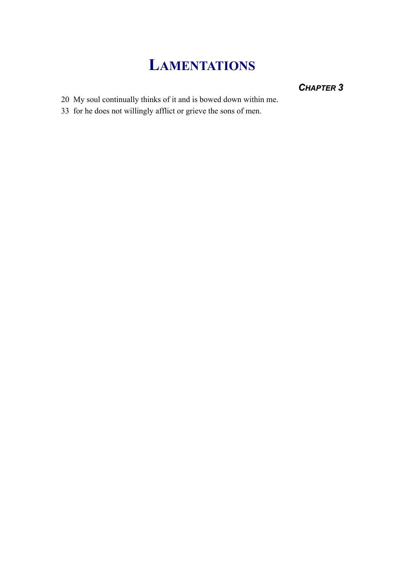# **LAMENTATIONS**

# *CHAPTER 3*

- 20 My soul continually thinks of it and is bowed down within me.
- 33 for he does not willingly afflict or grieve the sons of men.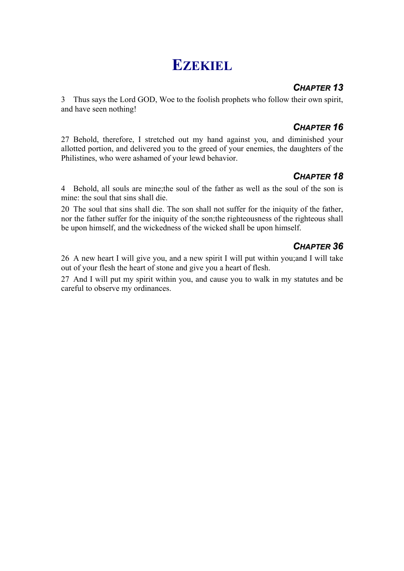# **EZEKIEL**

#### *CHAPTER 13*

3 Thus says the Lord GOD, Woe to the foolish prophets who follow their own spirit, and have seen nothing!

# *CHAPTER 16*

27 Behold, therefore, I stretched out my hand against you, and diminished your allotted portion, and delivered you to the greed of your enemies, the daughters of the Philistines, who were ashamed of your lewd behavior.

# *CHAPTER 18*

4 Behold, all souls are mine;the soul of the father as well as the soul of the son is mine: the soul that sins shall die.

20 The soul that sins shall die. The son shall not suffer for the iniquity of the father, nor the father suffer for the iniquity of the son;the righteousness of the righteous shall be upon himself, and the wickedness of the wicked shall be upon himself.

# *CHAPTER 36*

26 A new heart I will give you, and a new spirit I will put within you;and I will take out of your flesh the heart of stone and give you a heart of flesh.

27 And I will put my spirit within you, and cause you to walk in my statutes and be careful to observe my ordinances.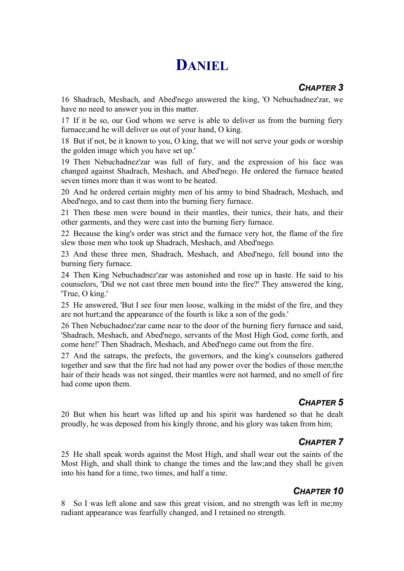# **DANIEL**

# *CHAPTER 3*

16 Shadrach, Meshach, and Abed'nego answered the king, 'O Nebuchadnez'zar, we have no need to answer you in this matter.

17 If it be so, our God whom we serve is able to deliver us from the burning fiery furnace;and he will deliver us out of your hand, O king.

18 But if not, be it known to you, O king, that we will not serve your gods or worship the golden image which you have set up.'

19 Then Nebuchadnez'zar was full of fury, and the expression of his face was changed against Shadrach, Meshach, and Abed'nego. He ordered the furnace heated seven times more than it was wont to be heated.

20 And he ordered certain mighty men of his army to bind Shadrach, Meshach, and Abed'nego, and to cast them into the burning fiery furnace.

21 Then these men were bound in their mantles, their tunics, their hats, and their other garments, and they were cast into the burning fiery furnace.

22 Because the king's order was strict and the furnace very hot, the flame of the fire slew those men who took up Shadrach, Meshach, and Abed'nego.

23 And these three men, Shadrach, Meshach, and Abed'nego, fell bound into the burning fiery furnace.

24 Then King Nebuchadnez'zar was astonished and rose up in haste. He said to his counselors, 'Did we not cast three men bound into the fire?' They answered the king, 'True, O king.'

25 He answered, 'But I see four men loose, walking in the midst of the fire, and they are not hurt;and the appearance of the fourth is like a son of the gods.'

26 Then Nebuchadnez'zar came near to the door of the burning fiery furnace and said, 'Shadrach, Meshach, and Abed'nego, servants of the Most High God, come forth, and come here!' Then Shadrach, Meshach, and Abed'nego came out from the fire.

27 And the satraps, the prefects, the governors, and the king's counselors gathered together and saw that the fire had not had any power over the bodies of those men;the hair of their heads was not singed, their mantles were not harmed, and no smell of fire had come upon them.

#### *CHAPTER 5*

20 But when his heart was lifted up and his spirit was hardened so that he dealt proudly, he was deposed from his kingly throne, and his glory was taken from him;

# *CHAPTER 7*

25 He shall speak words against the Most High, and shall wear out the saints of the Most High, and shall think to change the times and the law;and they shall be given into his hand for a time, two times, and half a time.

# *CHAPTER 10*

8 So I was left alone and saw this great vision, and no strength was left in me;my radiant appearance was fearfully changed, and I retained no strength.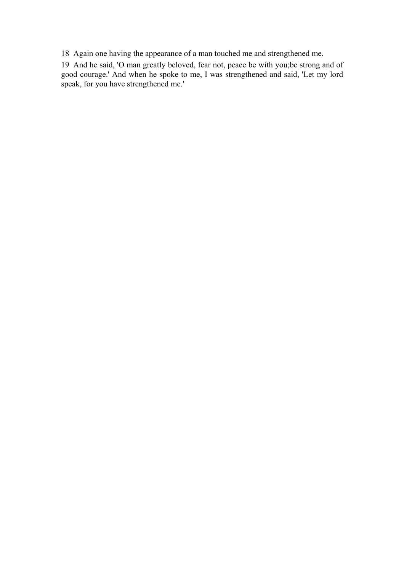18 Again one having the appearance of a man touched me and strengthened me.

19 And he said, 'O man greatly beloved, fear not, peace be with you;be strong and of good courage.' And when he spoke to me, I was strengthened and said, 'Let my lord speak, for you have strengthened me.'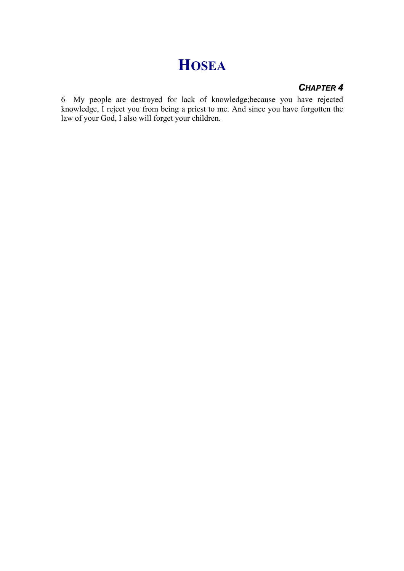# **HOSEA**

#### *CHAPTER 4*

6 My people are destroyed for lack of knowledge;because you have rejected knowledge, I reject you from being a priest to me. And since you have forgotten the law of your God, I also will forget your children.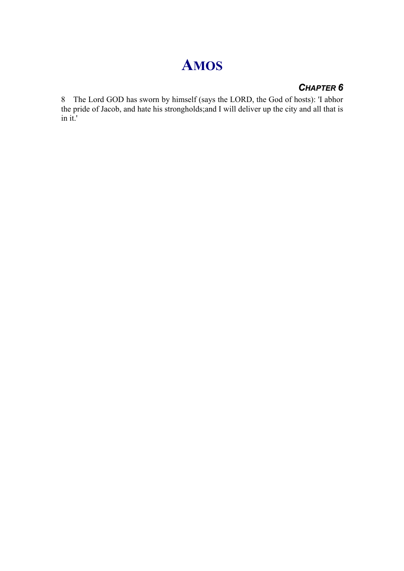# **AMOS**

### *CHAPTER 6*

8 The Lord GOD has sworn by himself (says the LORD, the God of hosts): 'I abhor the pride of Jacob, and hate his strongholds;and I will deliver up the city and all that is in it.'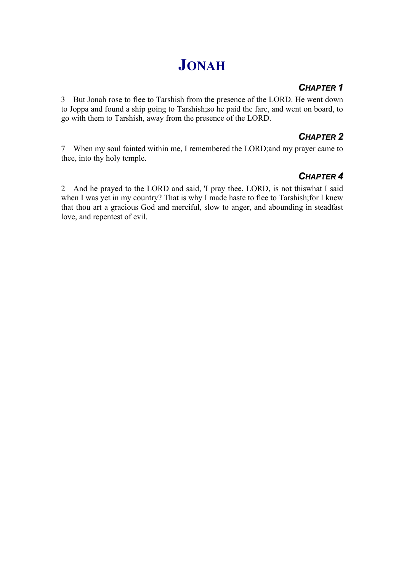# **JONAH**

### *CHAPTER 1*

3 But Jonah rose to flee to Tarshish from the presence of the LORD. He went down to Joppa and found a ship going to Tarshish;so he paid the fare, and went on board, to go with them to Tarshish, away from the presence of the LORD.

### *CHAPTER 2*

7 When my soul fainted within me, I remembered the LORD;and my prayer came to thee, into thy holy temple.

# *CHAPTER 4*

2 And he prayed to the LORD and said, 'I pray thee, LORD, is not thiswhat I said when I was yet in my country? That is why I made haste to flee to Tarshish;for I knew that thou art a gracious God and merciful, slow to anger, and abounding in steadfast love, and repentest of evil.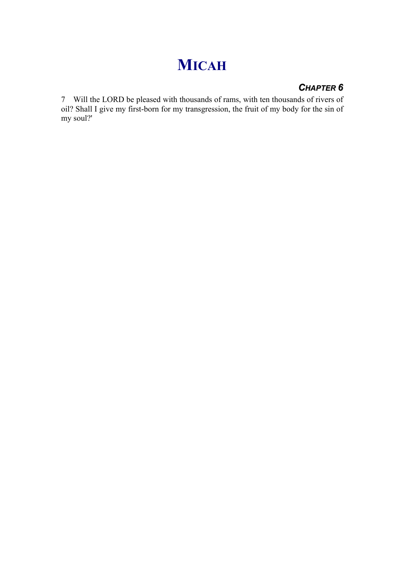# **MICAH**

### *CHAPTER 6*

7 Will the LORD be pleased with thousands of rams, with ten thousands of rivers of oil? Shall I give my first-born for my transgression, the fruit of my body for the sin of my soul?'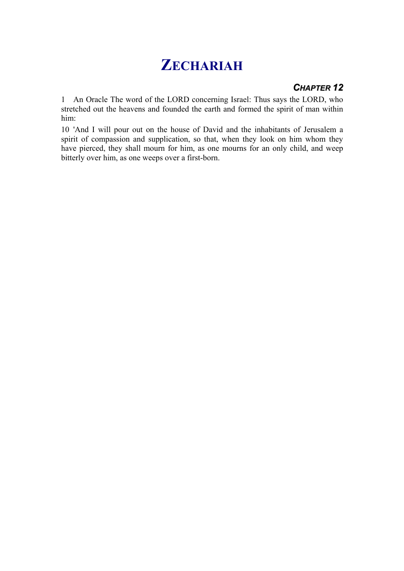# **ZECHARIAH**

#### *CHAPTER 12*

1 An Oracle The word of the LORD concerning Israel: Thus says the LORD, who stretched out the heavens and founded the earth and formed the spirit of man within him:

10 'And I will pour out on the house of David and the inhabitants of Jerusalem a spirit of compassion and supplication, so that, when they look on him whom they have pierced, they shall mourn for him, as one mourns for an only child, and weep bitterly over him, as one weeps over a first-born.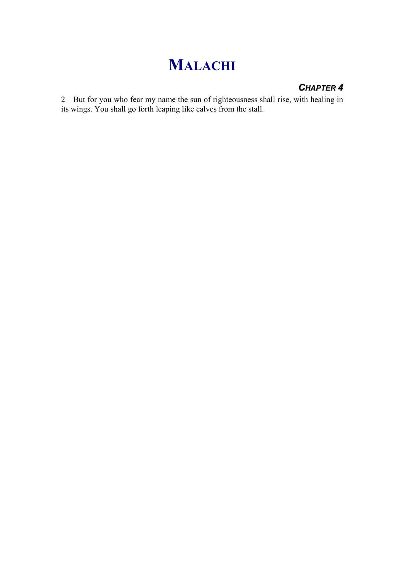## **MALACHI**

#### *CHAPTER 4*

2 But for you who fear my name the sun of righteousness shall rise, with healing in its wings. You shall go forth leaping like calves from the stall.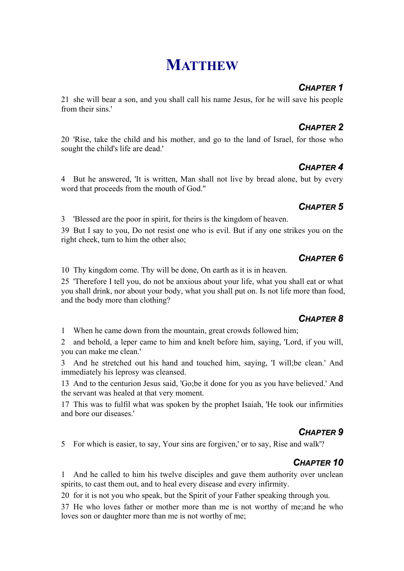## **MATTHEW**

## *CHAPTER 1*

21 she will bear a son, and you shall call his name Jesus, for he will save his people from their sins.'

## *CHAPTER 2*

20 'Rise, take the child and his mother, and go to the land of Israel, for those who sought the child's life are dead.'

## *CHAPTER 4*

4 But he answered, 'It is written, Man shall not live by bread alone, but by every word that proceeds from the mouth of God.''

## *CHAPTER 5*

3 'Blessed are the poor in spirit, for theirs is the kingdom of heaven.

39 But I say to you, Do not resist one who is evil. But if any one strikes you on the right cheek, turn to him the other also;

## *CHAPTER 6*

10 Thy kingdom come. Thy will be done, On earth as it is in heaven.

25 'Therefore I tell you, do not be anxious about your life, what you shall eat or what you shall drink, nor about your body, what you shall put on. Is not life more than food, and the body more than clothing?

## *CHAPTER 8*

1 When he came down from the mountain, great crowds followed him;

2 and behold, a leper came to him and knelt before him, saying, 'Lord, if you will, you can make me clean.'

3 And he stretched out his hand and touched him, saying, 'I will;be clean.' And immediately his leprosy was cleansed.

13 And to the centurion Jesus said, 'Go;be it done for you as you have believed.' And the servant was healed at that very moment.

17 This was to fulfil what was spoken by the prophet Isaiah, 'He took our infirmities and bore our diseases.'

## *CHAPTER 9*

5 For which is easier, to say, Your sins are forgiven,' or to say, Rise and walk'?

## *CHAPTER 10*

1 And he called to him his twelve disciples and gave them authority over unclean spirits, to cast them out, and to heal every disease and every infirmity.

20 for it is not you who speak, but the Spirit of your Father speaking through you.

37 He who loves father or mother more than me is not worthy of me;and he who loves son or daughter more than me is not worthy of me;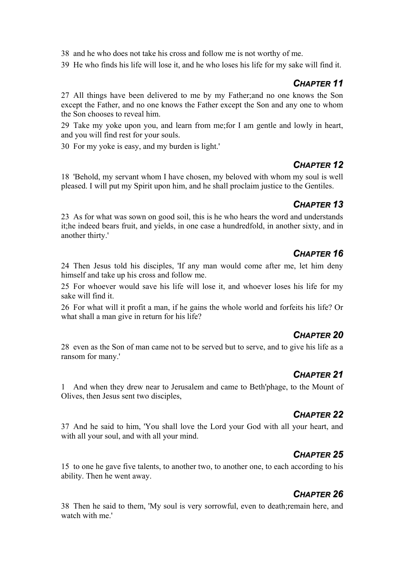38 and he who does not take his cross and follow me is not worthy of me.

39 He who finds his life will lose it, and he who loses his life for my sake will find it.

#### *CHAPTER 11*

27 All things have been delivered to me by my Father;and no one knows the Son except the Father, and no one knows the Father except the Son and any one to whom the Son chooses to reveal him.

29 Take my yoke upon you, and learn from me;for I am gentle and lowly in heart, and you will find rest for your souls.

30 For my yoke is easy, and my burden is light.'

#### *CHAPTER 12*

18 'Behold, my servant whom I have chosen, my beloved with whom my soul is well pleased. I will put my Spirit upon him, and he shall proclaim justice to the Gentiles.

#### *CHAPTER 13*

23 As for what was sown on good soil, this is he who hears the word and understands it;he indeed bears fruit, and yields, in one case a hundredfold, in another sixty, and in another thirty.'

#### *CHAPTER 16*

24 Then Jesus told his disciples, 'If any man would come after me, let him deny himself and take up his cross and follow me.

25 For whoever would save his life will lose it, and whoever loses his life for my sake will find it.

26 For what will it profit a man, if he gains the whole world and forfeits his life? Or what shall a man give in return for his life?

#### *CHAPTER 20*

28 even as the Son of man came not to be served but to serve, and to give his life as a ransom for many.'

#### *CHAPTER 21*

1 And when they drew near to Jerusalem and came to Beth'phage, to the Mount of Olives, then Jesus sent two disciples,

#### *CHAPTER 22*

37 And he said to him, 'You shall love the Lord your God with all your heart, and with all your soul, and with all your mind.

#### *CHAPTER 25*

15 to one he gave five talents, to another two, to another one, to each according to his ability. Then he went away.

#### *CHAPTER 26*

38 Then he said to them, 'My soul is very sorrowful, even to death;remain here, and watch with me'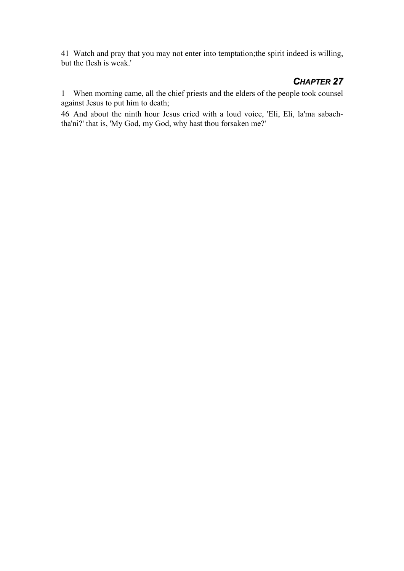41 Watch and pray that you may not enter into temptation;the spirit indeed is willing, but the flesh is weak.'

#### *CHAPTER 27*

1 When morning came, all the chief priests and the elders of the people took counsel against Jesus to put him to death;

46 And about the ninth hour Jesus cried with a loud voice, 'Eli, Eli, la'ma sabachtha'ni?' that is, 'My God, my God, why hast thou forsaken me?'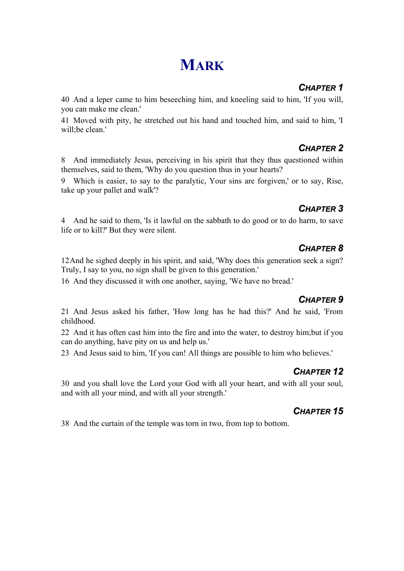## **MARK**

#### *CHAPTER 1*

40 And a leper came to him beseeching him, and kneeling said to him, 'If you will, you can make me clean.'

41 Moved with pity, he stretched out his hand and touched him, and said to him, 'I will;be clean.'

## *CHAPTER 2*

8 And immediately Jesus, perceiving in his spirit that they thus questioned within themselves, said to them, 'Why do you question thus in your hearts?

9 Which is easier, to say to the paralytic, Your sins are forgiven,' or to say, Rise, take up your pallet and walk'?

## *CHAPTER 3*

4 And he said to them, 'Is it lawful on the sabbath to do good or to do harm, to save life or to kill?' But they were silent.

## *CHAPTER 8*

12 And he sighed deeply in his spirit, and said, 'Why does this generation seek a sign? Truly, I say to you, no sign shall be given to this generation.'

16 And they discussed it with one another, saying, 'We have no bread.'

#### *CHAPTER 9*

21 And Jesus asked his father, 'How long has he had this?' And he said, 'From childhood.

22 And it has often cast him into the fire and into the water, to destroy him;but if you can do anything, have pity on us and help us.'

23 And Jesus said to him, 'If you can! All things are possible to him who believes.'

## *CHAPTER 12*

30 and you shall love the Lord your God with all your heart, and with all your soul, and with all your mind, and with all your strength.'

#### *CHAPTER 15*

38 And the curtain of the temple was torn in two, from top to bottom.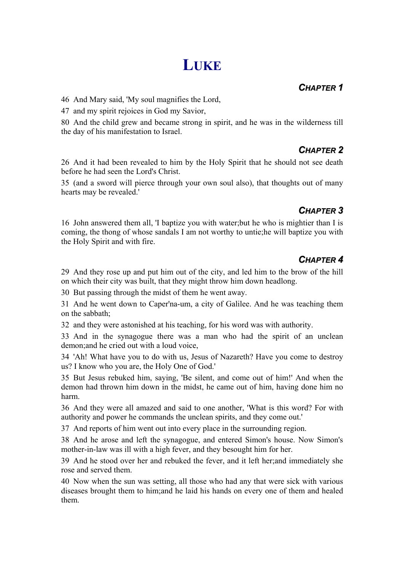## **LUKE**

#### *CHAPTER 1*

46 And Mary said, 'My soul magnifies the Lord,

47 and my spirit rejoices in God my Savior,

80 And the child grew and became strong in spirit, and he was in the wilderness till the day of his manifestation to Israel.

## *CHAPTER 2*

26 And it had been revealed to him by the Holy Spirit that he should not see death before he had seen the Lord's Christ.

35 (and a sword will pierce through your own soul also), that thoughts out of many hearts may be revealed.'

## *CHAPTER 3*

16 John answered them all, 'I baptize you with water;but he who is mightier than I is coming, the thong of whose sandals I am not worthy to untie;he will baptize you with the Holy Spirit and with fire.

## *CHAPTER 4*

29 And they rose up and put him out of the city, and led him to the brow of the hill on which their city was built, that they might throw him down headlong.

30 But passing through the midst of them he went away.

31 And he went down to Caper'na-um, a city of Galilee. And he was teaching them on the sabbath;

32 and they were astonished at his teaching, for his word was with authority.

33 And in the synagogue there was a man who had the spirit of an unclean demon;and he cried out with a loud voice,

34 'Ah! What have you to do with us, Jesus of Nazareth? Have you come to destroy us? I know who you are, the Holy One of God.'

35 But Jesus rebuked him, saying, 'Be silent, and come out of him!' And when the demon had thrown him down in the midst, he came out of him, having done him no harm.

36 And they were all amazed and said to one another, 'What is this word? For with authority and power he commands the unclean spirits, and they come out.'

37 And reports of him went out into every place in the surrounding region.

38 And he arose and left the synagogue, and entered Simon's house. Now Simon's mother-in-law was ill with a high fever, and they besought him for her.

39 And he stood over her and rebuked the fever, and it left her;and immediately she rose and served them.

40 Now when the sun was setting, all those who had any that were sick with various diseases brought them to him;and he laid his hands on every one of them and healed them.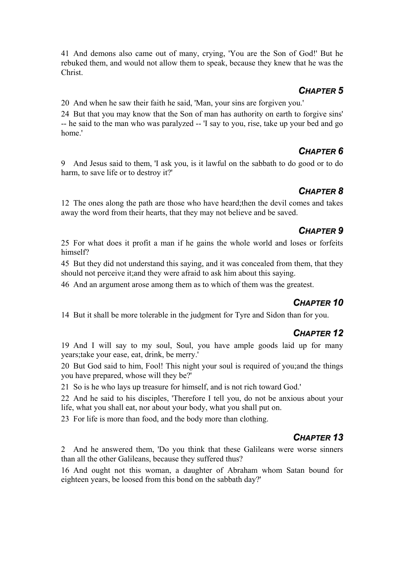41 And demons also came out of many, crying, 'You are the Son of God!' But he rebuked them, and would not allow them to speak, because they knew that he was the Christ.

#### *CHAPTER 5*

20 And when he saw their faith he said, 'Man, your sins are forgiven you.'

24 But that you may know that the Son of man has authority on earth to forgive sins' -- he said to the man who was paralyzed -- 'I say to you, rise, take up your bed and go home.'

## *CHAPTER 6*

9 And Jesus said to them, 'I ask you, is it lawful on the sabbath to do good or to do harm, to save life or to destroy it?'

## *CHAPTER 8*

12 The ones along the path are those who have heard;then the devil comes and takes away the word from their hearts, that they may not believe and be saved.

## *CHAPTER 9*

25 For what does it profit a man if he gains the whole world and loses or forfeits himself?

45 But they did not understand this saying, and it was concealed from them, that they should not perceive it;and they were afraid to ask him about this saying.

46 And an argument arose among them as to which of them was the greatest.

## *CHAPTER 10*

14 But it shall be more tolerable in the judgment for Tyre and Sidon than for you.

## *CHAPTER 12*

19 And I will say to my soul, Soul, you have ample goods laid up for many years;take your ease, eat, drink, be merry.'

20 But God said to him, Fool! This night your soul is required of you;and the things you have prepared, whose will they be?'

21 So is he who lays up treasure for himself, and is not rich toward God.'

22 And he said to his disciples, 'Therefore I tell you, do not be anxious about your life, what you shall eat, nor about your body, what you shall put on.

23 For life is more than food, and the body more than clothing.

## *CHAPTER 13*

2 And he answered them, 'Do you think that these Galileans were worse sinners than all the other Galileans, because they suffered thus?

16 And ought not this woman, a daughter of Abraham whom Satan bound for eighteen years, be loosed from this bond on the sabbath day?'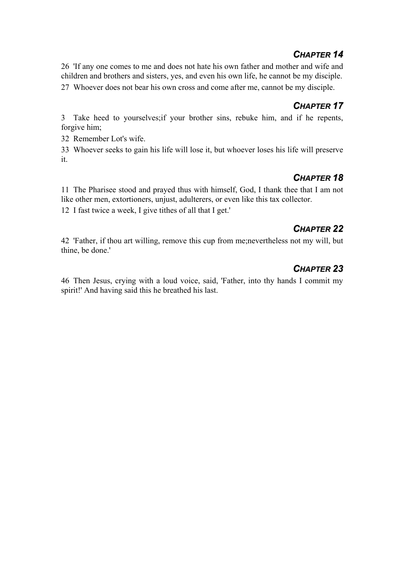#### *CHAPTER 14*

26 'If any one comes to me and does not hate his own father and mother and wife and children and brothers and sisters, yes, and even his own life, he cannot be my disciple. 27 Whoever does not bear his own cross and come after me, cannot be my disciple.

#### *CHAPTER 17*

3 Take heed to yourselves;if your brother sins, rebuke him, and if he repents, forgive him;

32 Remember Lot's wife.

33 Whoever seeks to gain his life will lose it, but whoever loses his life will preserve it.

#### *CHAPTER 18*

11 The Pharisee stood and prayed thus with himself, God, I thank thee that I am not like other men, extortioners, unjust, adulterers, or even like this tax collector.

12 I fast twice a week, I give tithes of all that I get.'

## *CHAPTER 22*

42 'Father, if thou art willing, remove this cup from me;nevertheless not my will, but thine, be done.'

## *CHAPTER 23*

46 Then Jesus, crying with a loud voice, said, 'Father, into thy hands I commit my spirit!' And having said this he breathed his last.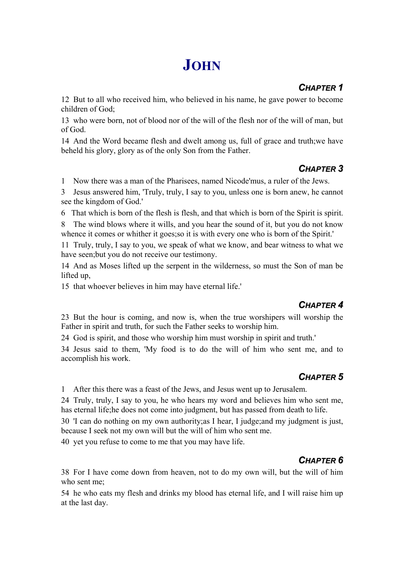## **JOHN**

## *CHAPTER 1*

12 But to all who received him, who believed in his name, he gave power to become children of God;

13 who were born, not of blood nor of the will of the flesh nor of the will of man, but of God.

14 And the Word became flesh and dwelt among us, full of grace and truth;we have beheld his glory, glory as of the only Son from the Father.

## *CHAPTER 3*

1 Now there was a man of the Pharisees, named Nicode'mus, a ruler of the Jews.

3 Jesus answered him, 'Truly, truly, I say to you, unless one is born anew, he cannot see the kingdom of God.'

6 That which is born of the flesh is flesh, and that which is born of the Spirit is spirit.

8 The wind blows where it wills, and you hear the sound of it, but you do not know whence it comes or whither it goes; so it is with every one who is born of the Spirit.'

11 Truly, truly, I say to you, we speak of what we know, and bear witness to what we have seen;but you do not receive our testimony.

14 And as Moses lifted up the serpent in the wilderness, so must the Son of man be lifted up,

15 that whoever believes in him may have eternal life.'

## *CHAPTER 4*

23 But the hour is coming, and now is, when the true worshipers will worship the Father in spirit and truth, for such the Father seeks to worship him.

24 God is spirit, and those who worship him must worship in spirit and truth.'

34 Jesus said to them, 'My food is to do the will of him who sent me, and to accomplish his work.

## *CHAPTER 5*

1 After this there was a feast of the Jews, and Jesus went up to Jerusalem.

24 Truly, truly, I say to you, he who hears my word and believes him who sent me, has eternal life;he does not come into judgment, but has passed from death to life.

30 'I can do nothing on my own authority;as I hear, I judge;and my judgment is just, because I seek not my own will but the will of him who sent me.

40 yet you refuse to come to me that you may have life.

## *CHAPTER 6*

38 For I have come down from heaven, not to do my own will, but the will of him who sent me;

54 he who eats my flesh and drinks my blood has eternal life, and I will raise him up at the last day.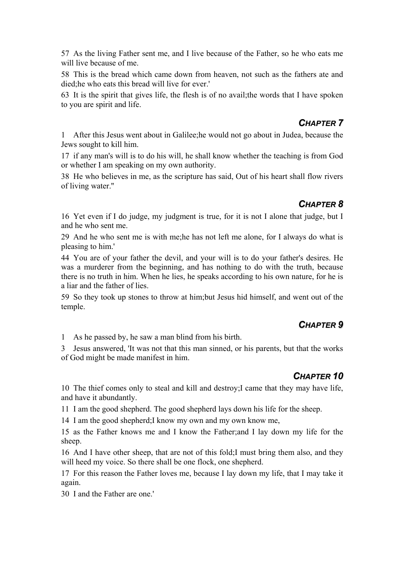57 As the living Father sent me, and I live because of the Father, so he who eats me will live because of me.

58 This is the bread which came down from heaven, not such as the fathers ate and died;he who eats this bread will live for ever.'

63 It is the spirit that gives life, the flesh is of no avail;the words that I have spoken to you are spirit and life.

#### *CHAPTER 7*

1 After this Jesus went about in Galilee;he would not go about in Judea, because the Jews sought to kill him.

17 if any man's will is to do his will, he shall know whether the teaching is from God or whether I am speaking on my own authority.

38 He who believes in me, as the scripture has said, Out of his heart shall flow rivers of living water.''

#### *CHAPTER 8*

16 Yet even if I do judge, my judgment is true, for it is not I alone that judge, but I and he who sent me.

29 And he who sent me is with me;he has not left me alone, for I always do what is pleasing to him.'

44 You are of your father the devil, and your will is to do your father's desires. He was a murderer from the beginning, and has nothing to do with the truth, because there is no truth in him. When he lies, he speaks according to his own nature, for he is a liar and the father of lies.

59 So they took up stones to throw at him;but Jesus hid himself, and went out of the temple.

#### *CHAPTER 9*

1 As he passed by, he saw a man blind from his birth.

3 Jesus answered, 'It was not that this man sinned, or his parents, but that the works of God might be made manifest in him.

## *CHAPTER 10*

10 The thief comes only to steal and kill and destroy;I came that they may have life, and have it abundantly.

11 I am the good shepherd. The good shepherd lays down his life for the sheep.

14 I am the good shepherd;I know my own and my own know me,

15 as the Father knows me and I know the Father;and I lay down my life for the sheep.

16 And I have other sheep, that are not of this fold;I must bring them also, and they will heed my voice. So there shall be one flock, one shepherd.

17 For this reason the Father loves me, because I lay down my life, that I may take it again.

30 I and the Father are one.'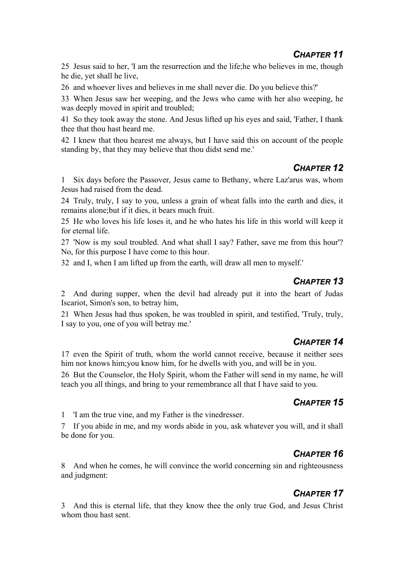25 Jesus said to her, 'I am the resurrection and the life;he who believes in me, though he die, yet shall he live,

26 and whoever lives and believes in me shall never die. Do you believe this?'

33 When Jesus saw her weeping, and the Jews who came with her also weeping, he was deeply moved in spirit and troubled;

41 So they took away the stone. And Jesus lifted up his eyes and said, 'Father, I thank thee that thou hast heard me.

42 I knew that thou hearest me always, but I have said this on account of the people standing by, that they may believe that thou didst send me.'

#### *CHAPTER 12*

1 Six days before the Passover, Jesus came to Bethany, where Laz'arus was, whom Jesus had raised from the dead.

24 Truly, truly, I say to you, unless a grain of wheat falls into the earth and dies, it remains alone;but if it dies, it bears much fruit.

25 He who loves his life loses it, and he who hates his life in this world will keep it for eternal life.

27 'Now is my soul troubled. And what shall I say? Father, save me from this hour'? No, for this purpose I have come to this hour.

32 and I, when I am lifted up from the earth, will draw all men to myself.'

#### *CHAPTER 13*

2 And during supper, when the devil had already put it into the heart of Judas Iscariot, Simon's son, to betray him,

21 When Jesus had thus spoken, he was troubled in spirit, and testified, 'Truly, truly, I say to you, one of you will betray me.'

#### *CHAPTER 14*

17 even the Spirit of truth, whom the world cannot receive, because it neither sees him nor knows him;you know him, for he dwells with you, and will be in you.

26 But the Counselor, the Holy Spirit, whom the Father will send in my name, he will teach you all things, and bring to your remembrance all that I have said to you.

#### *CHAPTER 15*

1 'I am the true vine, and my Father is the vinedresser.

7 If you abide in me, and my words abide in you, ask whatever you will, and it shall be done for you.

## *CHAPTER 16*

8 And when he comes, he will convince the world concerning sin and righteousness and judgment:

## *CHAPTER 17*

3 And this is eternal life, that they know thee the only true God, and Jesus Christ whom thou hast sent.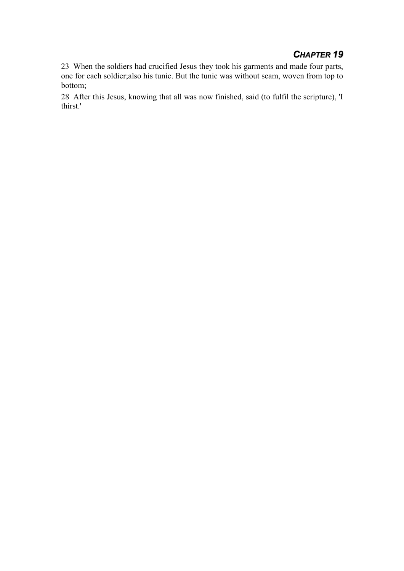#### *CHAPTER 19*

23 When the soldiers had crucified Jesus they took his garments and made four parts, one for each soldier;also his tunic. But the tunic was without seam, woven from top to bottom;

28 After this Jesus, knowing that all was now finished, said (to fulfil the scripture), 'I thirst.'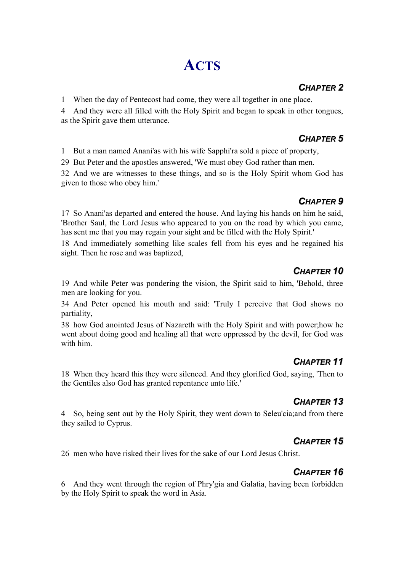# **ACTS**

### *CHAPTER 2*

1 When the day of Pentecost had come, they were all together in one place.

4 And they were all filled with the Holy Spirit and began to speak in other tongues, as the Spirit gave them utterance.

#### *CHAPTER 5*

1 But a man named Anani'as with his wife Sapphi'ra sold a piece of property,

29 But Peter and the apostles answered, 'We must obey God rather than men.

32 And we are witnesses to these things, and so is the Holy Spirit whom God has given to those who obey him.'

## *CHAPTER 9*

17 So Anani'as departed and entered the house. And laying his hands on him he said, 'Brother Saul, the Lord Jesus who appeared to you on the road by which you came, has sent me that you may regain your sight and be filled with the Holy Spirit.'

18 And immediately something like scales fell from his eyes and he regained his sight. Then he rose and was baptized,

## *CHAPTER 10*

19 And while Peter was pondering the vision, the Spirit said to him, 'Behold, three men are looking for you.

34 And Peter opened his mouth and said: 'Truly I perceive that God shows no partiality,

38 how God anointed Jesus of Nazareth with the Holy Spirit and with power;how he went about doing good and healing all that were oppressed by the devil, for God was with him.

## *CHAPTER 11*

18 When they heard this they were silenced. And they glorified God, saying, 'Then to the Gentiles also God has granted repentance unto life.'

## *CHAPTER 13*

4 So, being sent out by the Holy Spirit, they went down to Seleu'cia;and from there they sailed to Cyprus.

#### *CHAPTER 15*

26 men who have risked their lives for the sake of our Lord Jesus Christ.

## *CHAPTER 16*

6 And they went through the region of Phry'gia and Galatia, having been forbidden by the Holy Spirit to speak the word in Asia.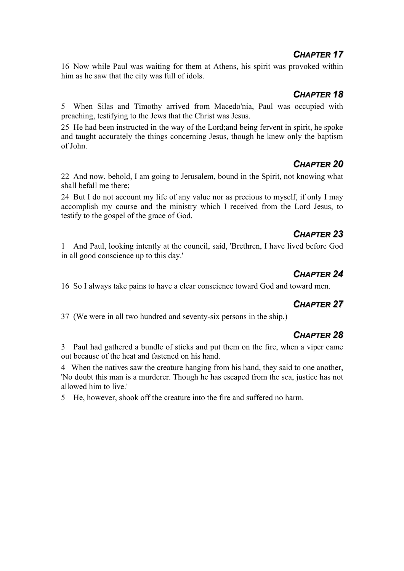#### *CHAPTER 17*

16 Now while Paul was waiting for them at Athens, his spirit was provoked within him as he saw that the city was full of idols.

#### *CHAPTER 18*

5 When Silas and Timothy arrived from Macedo'nia, Paul was occupied with preaching, testifying to the Jews that the Christ was Jesus.

25 He had been instructed in the way of the Lord;and being fervent in spirit, he spoke and taught accurately the things concerning Jesus, though he knew only the baptism of John.

## *CHAPTER 20*

22 And now, behold, I am going to Jerusalem, bound in the Spirit, not knowing what shall befall me there;

24 But I do not account my life of any value nor as precious to myself, if only I may accomplish my course and the ministry which I received from the Lord Jesus, to testify to the gospel of the grace of God.

## *CHAPTER 23*

1 And Paul, looking intently at the council, said, 'Brethren, I have lived before God in all good conscience up to this day.'

#### *CHAPTER 24*

16 So I always take pains to have a clear conscience toward God and toward men.

#### *CHAPTER 27*

37 (We were in all two hundred and seventy-six persons in the ship.)

#### *CHAPTER 28*

3 Paul had gathered a bundle of sticks and put them on the fire, when a viper came out because of the heat and fastened on his hand.

4 When the natives saw the creature hanging from his hand, they said to one another, 'No doubt this man is a murderer. Though he has escaped from the sea, justice has not allowed him to live.'

5 He, however, shook off the creature into the fire and suffered no harm.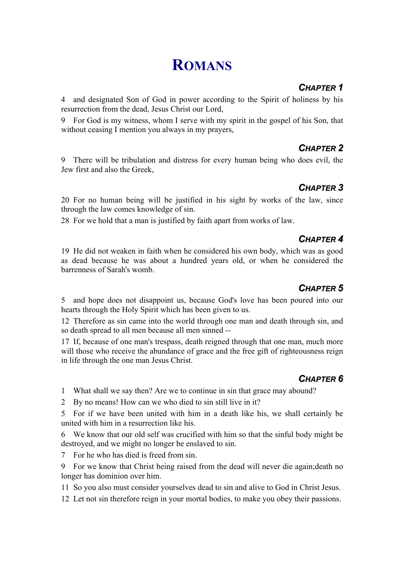## **ROMANS**

## *CHAPTER 1*

4 and designated Son of God in power according to the Spirit of holiness by his resurrection from the dead, Jesus Christ our Lord,

9 For God is my witness, whom I serve with my spirit in the gospel of his Son, that without ceasing I mention you always in my prayers,

## *CHAPTER 2*

9 There will be tribulation and distress for every human being who does evil, the Jew first and also the Greek,

## *CHAPTER 3*

20 For no human being will be justified in his sight by works of the law, since through the law comes knowledge of sin.

28 For we hold that a man is justified by faith apart from works of law.

#### *CHAPTER 4*

19 He did not weaken in faith when he considered his own body, which was as good as dead because he was about a hundred years old, or when he considered the barrenness of Sarah's womb.

## *CHAPTER 5*

5 and hope does not disappoint us, because God's love has been poured into our hearts through the Holy Spirit which has been given to us.

12 Therefore as sin came into the world through one man and death through sin, and so death spread to all men because all men sinned --

17 If, because of one man's trespass, death reigned through that one man, much more will those who receive the abundance of grace and the free gift of righteousness reign in life through the one man Jesus Christ.

## *CHAPTER 6*

1 What shall we say then? Are we to continue in sin that grace may abound?

2 By no means! How can we who died to sin still live in it?

5 For if we have been united with him in a death like his, we shall certainly be united with him in a resurrection like his.

6 We know that our old self was crucified with him so that the sinful body might be destroyed, and we might no longer be enslaved to sin.

7 For he who has died is freed from sin.

9 For we know that Christ being raised from the dead will never die again;death no longer has dominion over him.

11 So you also must consider yourselves dead to sin and alive to God in Christ Jesus.

12 Let not sin therefore reign in your mortal bodies, to make you obey their passions.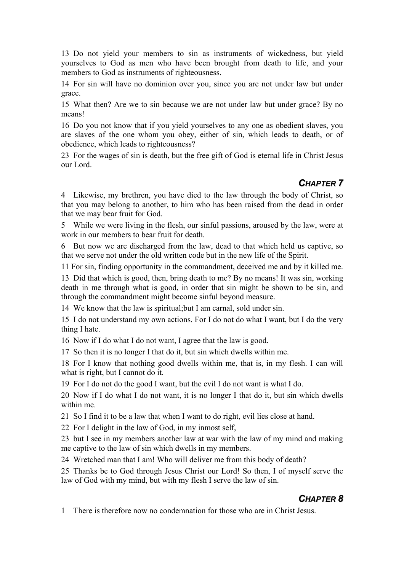13 Do not yield your members to sin as instruments of wickedness, but yield yourselves to God as men who have been brought from death to life, and your members to God as instruments of righteousness.

14 For sin will have no dominion over you, since you are not under law but under grace.

15 What then? Are we to sin because we are not under law but under grace? By no means!

16 Do you not know that if you yield yourselves to any one as obedient slaves, you are slaves of the one whom you obey, either of sin, which leads to death, or of obedience, which leads to righteousness?

23 For the wages of sin is death, but the free gift of God is eternal life in Christ Jesus our Lord.

#### *CHAPTER 7*

4 Likewise, my brethren, you have died to the law through the body of Christ, so that you may belong to another, to him who has been raised from the dead in order that we may bear fruit for God.

5 While we were living in the flesh, our sinful passions, aroused by the law, were at work in our members to bear fruit for death.

6 But now we are discharged from the law, dead to that which held us captive, so that we serve not under the old written code but in the new life of the Spirit.

11 For sin, finding opportunity in the commandment, deceived me and by it killed me.

13 Did that which is good, then, bring death to me? By no means! It was sin, working death in me through what is good, in order that sin might be shown to be sin, and through the commandment might become sinful beyond measure.

14 We know that the law is spiritual;but I am carnal, sold under sin.

15 I do not understand my own actions. For I do not do what I want, but I do the very thing I hate.

16 Now if I do what I do not want, I agree that the law is good.

17 So then it is no longer I that do it, but sin which dwells within me.

18 For I know that nothing good dwells within me, that is, in my flesh. I can will what is right, but I cannot do it.

19 For I do not do the good I want, but the evil I do not want is what I do.

20 Now if I do what I do not want, it is no longer I that do it, but sin which dwells within me.

21 So I find it to be a law that when I want to do right, evil lies close at hand.

22 For I delight in the law of God, in my inmost self,

23 but I see in my members another law at war with the law of my mind and making me captive to the law of sin which dwells in my members.

24 Wretched man that I am! Who will deliver me from this body of death?

25 Thanks be to God through Jesus Christ our Lord! So then, I of myself serve the law of God with my mind, but with my flesh I serve the law of sin.

#### *CHAPTER 8*

1 There is therefore now no condemnation for those who are in Christ Jesus.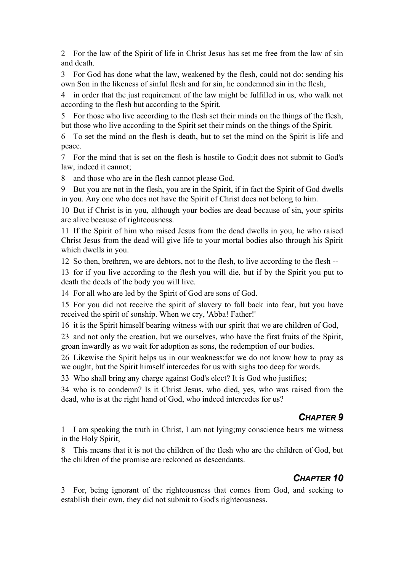2 For the law of the Spirit of life in Christ Jesus has set me free from the law of sin and death.

3 For God has done what the law, weakened by the flesh, could not do: sending his own Son in the likeness of sinful flesh and for sin, he condemned sin in the flesh,

4 in order that the just requirement of the law might be fulfilled in us, who walk not according to the flesh but according to the Spirit.

5 For those who live according to the flesh set their minds on the things of the flesh, but those who live according to the Spirit set their minds on the things of the Spirit.

6 To set the mind on the flesh is death, but to set the mind on the Spirit is life and peace.

7 For the mind that is set on the flesh is hostile to God;it does not submit to God's law, indeed it cannot;

8 and those who are in the flesh cannot please God.

9 But you are not in the flesh, you are in the Spirit, if in fact the Spirit of God dwells in you. Any one who does not have the Spirit of Christ does not belong to him.

10 But if Christ is in you, although your bodies are dead because of sin, your spirits are alive because of righteousness.

11 If the Spirit of him who raised Jesus from the dead dwells in you, he who raised Christ Jesus from the dead will give life to your mortal bodies also through his Spirit which dwells in you.

12 So then, brethren, we are debtors, not to the flesh, to live according to the flesh --

13 for if you live according to the flesh you will die, but if by the Spirit you put to death the deeds of the body you will live.

14 For all who are led by the Spirit of God are sons of God.

15 For you did not receive the spirit of slavery to fall back into fear, but you have received the spirit of sonship. When we cry, 'Abba! Father!'

16 it is the Spirit himself bearing witness with our spirit that we are children of God,

23 and not only the creation, but we ourselves, who have the first fruits of the Spirit, groan inwardly as we wait for adoption as sons, the redemption of our bodies.

26 Likewise the Spirit helps us in our weakness;for we do not know how to pray as we ought, but the Spirit himself intercedes for us with sighs too deep for words.

33 Who shall bring any charge against God's elect? It is God who justifies;

34 who is to condemn? Is it Christ Jesus, who died, yes, who was raised from the dead, who is at the right hand of God, who indeed intercedes for us?

#### *CHAPTER 9*

1 I am speaking the truth in Christ, I am not lying;my conscience bears me witness in the Holy Spirit,

8 This means that it is not the children of the flesh who are the children of God, but the children of the promise are reckoned as descendants.

#### *CHAPTER 10*

3 For, being ignorant of the righteousness that comes from God, and seeking to establish their own, they did not submit to God's righteousness.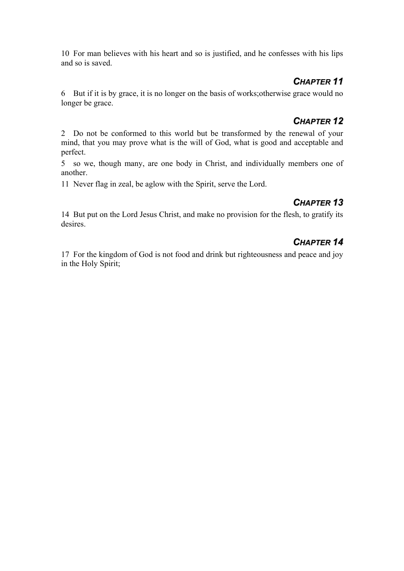10 For man believes with his heart and so is justified, and he confesses with his lips and so is saved.

#### *CHAPTER 11*

6 But if it is by grace, it is no longer on the basis of works;otherwise grace would no longer be grace.

## *CHAPTER 12*

2 Do not be conformed to this world but be transformed by the renewal of your mind, that you may prove what is the will of God, what is good and acceptable and perfect.

5 so we, though many, are one body in Christ, and individually members one of another.

11 Never flag in zeal, be aglow with the Spirit, serve the Lord.

## *CHAPTER 13*

14 But put on the Lord Jesus Christ, and make no provision for the flesh, to gratify its desires.

## *CHAPTER 14*

17 For the kingdom of God is not food and drink but righteousness and peace and joy in the Holy Spirit;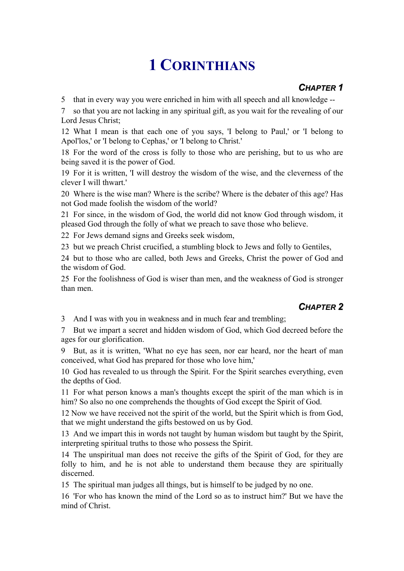# **1 CORINTHIANS**

### *CHAPTER 1*

5 that in every way you were enriched in him with all speech and all knowledge --

7 so that you are not lacking in any spiritual gift, as you wait for the revealing of our Lord Jesus Christ;

12 What I mean is that each one of you says, 'I belong to Paul,' or 'I belong to Apol'los,' or 'I belong to Cephas,' or 'I belong to Christ.'

18 For the word of the cross is folly to those who are perishing, but to us who are being saved it is the power of God.

19 For it is written, 'I will destroy the wisdom of the wise, and the cleverness of the clever I will thwart.'

20 Where is the wise man? Where is the scribe? Where is the debater of this age? Has not God made foolish the wisdom of the world?

21 For since, in the wisdom of God, the world did not know God through wisdom, it pleased God through the folly of what we preach to save those who believe.

22 For Jews demand signs and Greeks seek wisdom,

23 but we preach Christ crucified, a stumbling block to Jews and folly to Gentiles,

24 but to those who are called, both Jews and Greeks, Christ the power of God and the wisdom of God.

25 For the foolishness of God is wiser than men, and the weakness of God is stronger than men.

## *CHAPTER 2*

3 And I was with you in weakness and in much fear and trembling;

7 But we impart a secret and hidden wisdom of God, which God decreed before the ages for our glorification.

9 But, as it is written, 'What no eye has seen, nor ear heard, nor the heart of man conceived, what God has prepared for those who love him,'

10 God has revealed to us through the Spirit. For the Spirit searches everything, even the depths of God.

11 For what person knows a man's thoughts except the spirit of the man which is in him? So also no one comprehends the thoughts of God except the Spirit of God.

12 Now we have received not the spirit of the world, but the Spirit which is from God, that we might understand the gifts bestowed on us by God.

13 And we impart this in words not taught by human wisdom but taught by the Spirit, interpreting spiritual truths to those who possess the Spirit.

14 The unspiritual man does not receive the gifts of the Spirit of God, for they are folly to him, and he is not able to understand them because they are spiritually discerned.

15 The spiritual man judges all things, but is himself to be judged by no one.

16 'For who has known the mind of the Lord so as to instruct him?' But we have the mind of Christ.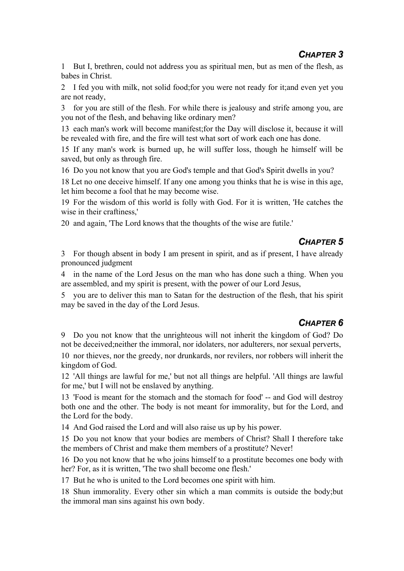1 But I, brethren, could not address you as spiritual men, but as men of the flesh, as babes in Christ.

2 I fed you with milk, not solid food;for you were not ready for it;and even yet you are not ready,

3 for you are still of the flesh. For while there is jealousy and strife among you, are you not of the flesh, and behaving like ordinary men?

13 each man's work will become manifest;for the Day will disclose it, because it will be revealed with fire, and the fire will test what sort of work each one has done.

15 If any man's work is burned up, he will suffer loss, though he himself will be saved, but only as through fire.

16 Do you not know that you are God's temple and that God's Spirit dwells in you?

18 Let no one deceive himself. If any one among you thinks that he is wise in this age, let him become a fool that he may become wise.

19 For the wisdom of this world is folly with God. For it is written, 'He catches the wise in their craftiness,'

20 and again, 'The Lord knows that the thoughts of the wise are futile.'

## *CHAPTER 5*

3 For though absent in body I am present in spirit, and as if present, I have already pronounced judgment

4 in the name of the Lord Jesus on the man who has done such a thing. When you are assembled, and my spirit is present, with the power of our Lord Jesus,

5 you are to deliver this man to Satan for the destruction of the flesh, that his spirit may be saved in the day of the Lord Jesus.

## *CHAPTER 6*

9 Do you not know that the unrighteous will not inherit the kingdom of God? Do not be deceived;neither the immoral, nor idolaters, nor adulterers, nor sexual perverts,

10 nor thieves, nor the greedy, nor drunkards, nor revilers, nor robbers will inherit the kingdom of God.

12 'All things are lawful for me,' but not all things are helpful. 'All things are lawful for me,' but I will not be enslaved by anything.

13 'Food is meant for the stomach and the stomach for food' -- and God will destroy both one and the other. The body is not meant for immorality, but for the Lord, and the Lord for the body.

14 And God raised the Lord and will also raise us up by his power.

15 Do you not know that your bodies are members of Christ? Shall I therefore take the members of Christ and make them members of a prostitute? Never!

16 Do you not know that he who joins himself to a prostitute becomes one body with her? For, as it is written. 'The two shall become one flesh.'

17 But he who is united to the Lord becomes one spirit with him.

18 Shun immorality. Every other sin which a man commits is outside the body;but the immoral man sins against his own body.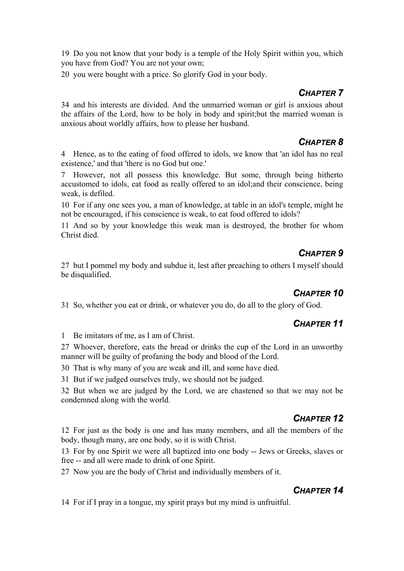19 Do you not know that your body is a temple of the Holy Spirit within you, which you have from God? You are not your own;

20 you were bought with a price. So glorify God in your body.

## *CHAPTER 7*

34 and his interests are divided. And the unmarried woman or girl is anxious about the affairs of the Lord, how to be holy in body and spirit;but the married woman is anxious about worldly affairs, how to please her husband.

#### *CHAPTER 8*

4 Hence, as to the eating of food offered to idols, we know that 'an idol has no real existence,' and that 'there is no God but one.'

7 However, not all possess this knowledge. But some, through being hitherto accustomed to idols, eat food as really offered to an idol;and their conscience, being weak, is defiled.

10 For if any one sees you, a man of knowledge, at table in an idol's temple, might he not be encouraged, if his conscience is weak, to eat food offered to idols?

11 And so by your knowledge this weak man is destroyed, the brother for whom Christ died.

## *CHAPTER 9*

27 but I pommel my body and subdue it, lest after preaching to others I myself should be disqualified.

## *CHAPTER 10*

31 So, whether you eat or drink, or whatever you do, do all to the glory of God.

## *CHAPTER 11*

1 Be imitators of me, as I am of Christ.

27 Whoever, therefore, eats the bread or drinks the cup of the Lord in an unworthy manner will be guilty of profaning the body and blood of the Lord.

30 That is why many of you are weak and ill, and some have died.

31 But if we judged ourselves truly, we should not be judged.

32 But when we are judged by the Lord, we are chastened so that we may not be condemned along with the world.

#### *CHAPTER 12*

12 For just as the body is one and has many members, and all the members of the body, though many, are one body, so it is with Christ.

13 For by one Spirit we were all baptized into one body -- Jews or Greeks, slaves or free -- and all were made to drink of one Spirit.

27 Now you are the body of Christ and individually members of it.

## *CHAPTER 14*

14 For if I pray in a tongue, my spirit prays but my mind is unfruitful.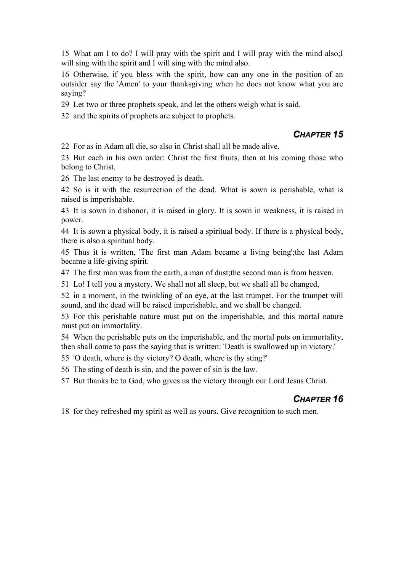15 What am I to do? I will pray with the spirit and I will pray with the mind also;I will sing with the spirit and I will sing with the mind also.

16 Otherwise, if you bless with the spirit, how can any one in the position of an outsider say the 'Amen' to your thanksgiving when he does not know what you are saying?

29 Let two or three prophets speak, and let the others weigh what is said.

32 and the spirits of prophets are subject to prophets.

#### *CHAPTER 15*

22 For as in Adam all die, so also in Christ shall all be made alive.

23 But each in his own order: Christ the first fruits, then at his coming those who belong to Christ.

26 The last enemy to be destroyed is death.

42 So is it with the resurrection of the dead. What is sown is perishable, what is raised is imperishable.

43 It is sown in dishonor, it is raised in glory. It is sown in weakness, it is raised in power.

44 It is sown a physical body, it is raised a spiritual body. If there is a physical body, there is also a spiritual body.

45 Thus it is written, 'The first man Adam became a living being';the last Adam became a life-giving spirit.

47 The first man was from the earth, a man of dust;the second man is from heaven.

51 Lo! I tell you a mystery. We shall not all sleep, but we shall all be changed,

52 in a moment, in the twinkling of an eye, at the last trumpet. For the trumpet will sound, and the dead will be raised imperishable, and we shall be changed.

53 For this perishable nature must put on the imperishable, and this mortal nature must put on immortality.

54 When the perishable puts on the imperishable, and the mortal puts on immortality, then shall come to pass the saying that is written: 'Death is swallowed up in victory.'

55 'O death, where is thy victory? O death, where is thy sting?'

56 The sting of death is sin, and the power of sin is the law.

57 But thanks be to God, who gives us the victory through our Lord Jesus Christ.

#### *CHAPTER 16*

18 for they refreshed my spirit as well as yours. Give recognition to such men.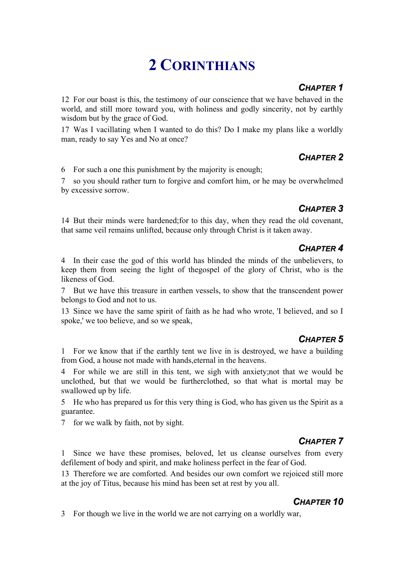# **2 CORINTHIANS**

#### *CHAPTER 1*

12 For our boast is this, the testimony of our conscience that we have behaved in the world, and still more toward you, with holiness and godly sincerity, not by earthly wisdom but by the grace of God.

17 Was I vacillating when I wanted to do this? Do I make my plans like a worldly man, ready to say Yes and No at once?

## *CHAPTER 2*

6 For such a one this punishment by the majority is enough;

7 so you should rather turn to forgive and comfort him, or he may be overwhelmed by excessive sorrow.

## *CHAPTER 3*

14 But their minds were hardened;for to this day, when they read the old covenant, that same veil remains unlifted, because only through Christ is it taken away.

## *CHAPTER 4*

4 In their case the god of this world has blinded the minds of the unbelievers, to keep them from seeing the light of thegospel of the glory of Christ, who is the likeness of God.

7 But we have this treasure in earthen vessels, to show that the transcendent power belongs to God and not to us.

13 Since we have the same spirit of faith as he had who wrote, 'I believed, and so I spoke,' we too believe, and so we speak,

## *CHAPTER 5*

1 For we know that if the earthly tent we live in is destroyed, we have a building from God, a house not made with hands,eternal in the heavens.

4 For while we are still in this tent, we sigh with anxiety;not that we would be unclothed, but that we would be furtherclothed, so that what is mortal may be swallowed up by life.

5 He who has prepared us for this very thing is God, who has given us the Spirit as a guarantee.

7 for we walk by faith, not by sight.

## *CHAPTER 7*

1 Since we have these promises, beloved, let us cleanse ourselves from every defilement of body and spirit, and make holiness perfect in the fear of God.

13 Therefore we are comforted. And besides our own comfort we rejoiced still more at the joy of Titus, because his mind has been set at rest by you all.

#### *CHAPTER 10*

3 For though we live in the world we are not carrying on a worldly war,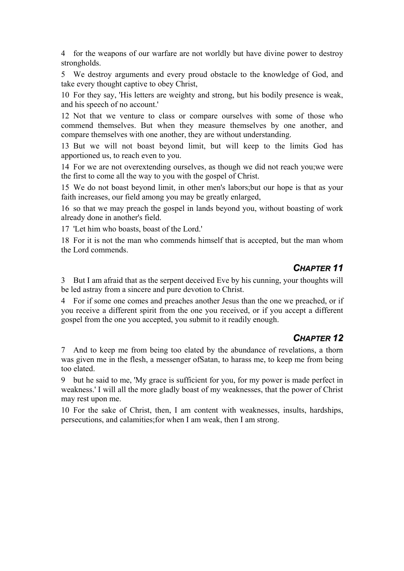4 for the weapons of our warfare are not worldly but have divine power to destroy strongholds.

5 We destroy arguments and every proud obstacle to the knowledge of God, and take every thought captive to obey Christ,

10 For they say, 'His letters are weighty and strong, but his bodily presence is weak, and his speech of no account.'

12 Not that we venture to class or compare ourselves with some of those who commend themselves. But when they measure themselves by one another, and compare themselves with one another, they are without understanding.

13 But we will not boast beyond limit, but will keep to the limits God has apportioned us, to reach even to you.

14 For we are not overextending ourselves, as though we did not reach you;we were the first to come all the way to you with the gospel of Christ.

15 We do not boast beyond limit, in other men's labors;but our hope is that as your faith increases, our field among you may be greatly enlarged,

16 so that we may preach the gospel in lands beyond you, without boasting of work already done in another's field.

17 'Let him who boasts, boast of the Lord.'

18 For it is not the man who commends himself that is accepted, but the man whom the Lord commends.

#### *CHAPTER 11*

3 But I am afraid that as the serpent deceived Eve by his cunning, your thoughts will be led astray from a sincere and pure devotion to Christ.

4 For if some one comes and preaches another Jesus than the one we preached, or if you receive a different spirit from the one you received, or if you accept a different gospel from the one you accepted, you submit to it readily enough.

#### *CHAPTER 12*

7 And to keep me from being too elated by the abundance of revelations, a thorn was given me in the flesh, a messenger ofSatan, to harass me, to keep me from being too elated.

9 but he said to me, 'My grace is sufficient for you, for my power is made perfect in weakness.' I will all the more gladly boast of my weaknesses, that the power of Christ may rest upon me.

10 For the sake of Christ, then, I am content with weaknesses, insults, hardships, persecutions, and calamities;for when I am weak, then I am strong.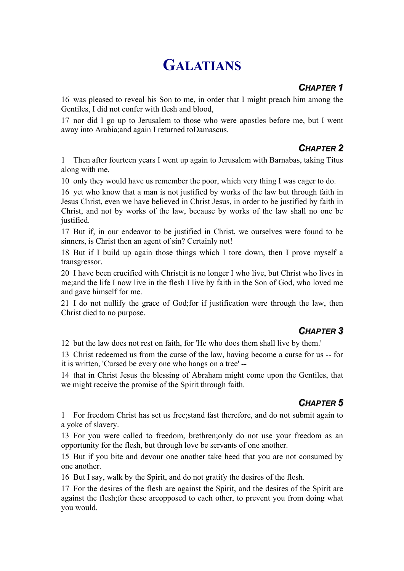# **GALATIANS**

## *CHAPTER 1*

16 was pleased to reveal his Son to me, in order that I might preach him among the Gentiles, I did not confer with flesh and blood,

17 nor did I go up to Jerusalem to those who were apostles before me, but I went away into Arabia;and again I returned toDamascus.

## *CHAPTER 2*

1 Then after fourteen years I went up again to Jerusalem with Barnabas, taking Titus along with me.

10 only they would have us remember the poor, which very thing I was eager to do.

16 yet who know that a man is not justified by works of the law but through faith in Jesus Christ, even we have believed in Christ Jesus, in order to be justified by faith in Christ, and not by works of the law, because by works of the law shall no one be justified.

17 But if, in our endeavor to be justified in Christ, we ourselves were found to be sinners, is Christ then an agent of sin? Certainly not!

18 But if I build up again those things which I tore down, then I prove myself a transgressor.

20 I have been crucified with Christ;it is no longer I who live, but Christ who lives in me;and the life I now live in the flesh I live by faith in the Son of God, who loved me and gave himself for me.

21 I do not nullify the grace of God;for if justification were through the law, then Christ died to no purpose.

## *CHAPTER 3*

12 but the law does not rest on faith, for 'He who does them shall live by them.'

13 Christ redeemed us from the curse of the law, having become a curse for us -- for it is written, 'Cursed be every one who hangs on a tree' --

14 that in Christ Jesus the blessing of Abraham might come upon the Gentiles, that we might receive the promise of the Spirit through faith.

## *CHAPTER 5*

1 For freedom Christ has set us free;stand fast therefore, and do not submit again to a yoke of slavery.

13 For you were called to freedom, brethren;only do not use your freedom as an opportunity for the flesh, but through love be servants of one another.

15 But if you bite and devour one another take heed that you are not consumed by one another.

16 But I say, walk by the Spirit, and do not gratify the desires of the flesh.

17 For the desires of the flesh are against the Spirit, and the desires of the Spirit are against the flesh;for these areopposed to each other, to prevent you from doing what you would.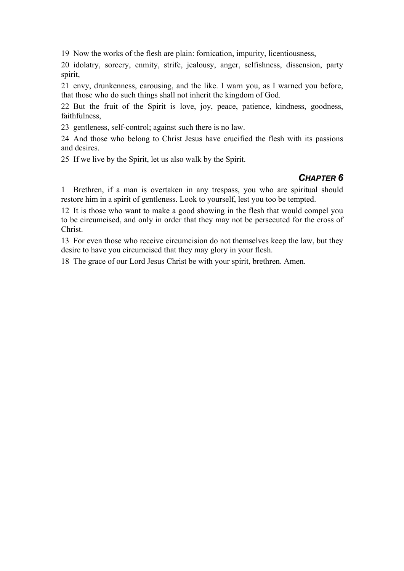19 Now the works of the flesh are plain: fornication, impurity, licentiousness,

20 idolatry, sorcery, enmity, strife, jealousy, anger, selfishness, dissension, party spirit,

21 envy, drunkenness, carousing, and the like. I warn you, as I warned you before, that those who do such things shall not inherit the kingdom of God.

22 But the fruit of the Spirit is love, joy, peace, patience, kindness, goodness, faithfulness,

23 gentleness, self-control; against such there is no law.

24 And those who belong to Christ Jesus have crucified the flesh with its passions and desires.

25 If we live by the Spirit, let us also walk by the Spirit.

#### *CHAPTER 6*

1 Brethren, if a man is overtaken in any trespass, you who are spiritual should restore him in a spirit of gentleness. Look to yourself, lest you too be tempted.

12 It is those who want to make a good showing in the flesh that would compel you to be circumcised, and only in order that they may not be persecuted for the cross of Christ.

13 For even those who receive circumcision do not themselves keep the law, but they desire to have you circumcised that they may glory in your flesh.

18 The grace of our Lord Jesus Christ be with your spirit, brethren. Amen.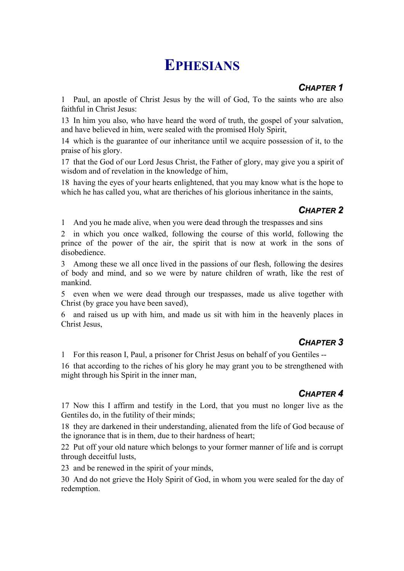## **EPHESIANS**

## *CHAPTER 1*

1 Paul, an apostle of Christ Jesus by the will of God, To the saints who are also faithful in Christ Jesus:

13 In him you also, who have heard the word of truth, the gospel of your salvation, and have believed in him, were sealed with the promised Holy Spirit,

14 which is the guarantee of our inheritance until we acquire possession of it, to the praise of his glory.

17 that the God of our Lord Jesus Christ, the Father of glory, may give you a spirit of wisdom and of revelation in the knowledge of him,

18 having the eyes of your hearts enlightened, that you may know what is the hope to which he has called you, what are theriches of his glorious inheritance in the saints,

## *CHAPTER 2*

1 And you he made alive, when you were dead through the trespasses and sins

2 in which you once walked, following the course of this world, following the prince of the power of the air, the spirit that is now at work in the sons of disobedience.

3 Among these we all once lived in the passions of our flesh, following the desires of body and mind, and so we were by nature children of wrath, like the rest of mankind.

5 even when we were dead through our trespasses, made us alive together with Christ (by grace you have been saved),

6 and raised us up with him, and made us sit with him in the heavenly places in Christ Jesus,

## *CHAPTER 3*

1 For this reason I, Paul, a prisoner for Christ Jesus on behalf of you Gentiles --

16 that according to the riches of his glory he may grant you to be strengthened with might through his Spirit in the inner man,

## *CHAPTER 4*

17 Now this I affirm and testify in the Lord, that you must no longer live as the Gentiles do, in the futility of their minds;

18 they are darkened in their understanding, alienated from the life of God because of the ignorance that is in them, due to their hardness of heart;

22 Put off your old nature which belongs to your former manner of life and is corrupt through deceitful lusts,

23 and be renewed in the spirit of your minds,

30 And do not grieve the Holy Spirit of God, in whom you were sealed for the day of redemption.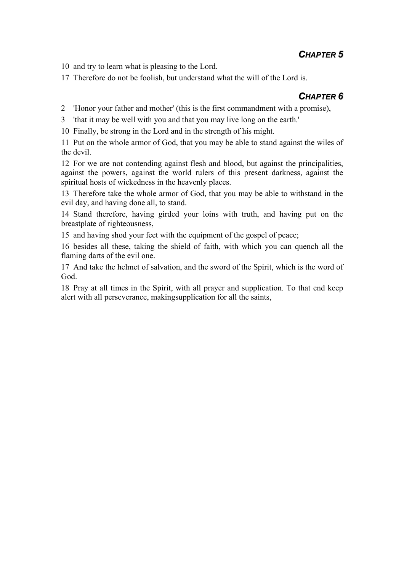#### *CHAPTER 5*

10 and try to learn what is pleasing to the Lord.

17 Therefore do not be foolish, but understand what the will of the Lord is.

#### *CHAPTER 6*

2 'Honor your father and mother' (this is the first commandment with a promise),

3 'that it may be well with you and that you may live long on the earth.'

10 Finally, be strong in the Lord and in the strength of his might.

11 Put on the whole armor of God, that you may be able to stand against the wiles of the devil.

12 For we are not contending against flesh and blood, but against the principalities, against the powers, against the world rulers of this present darkness, against the spiritual hosts of wickedness in the heavenly places.

13 Therefore take the whole armor of God, that you may be able to withstand in the evil day, and having done all, to stand.

14 Stand therefore, having girded your loins with truth, and having put on the breastplate of righteousness,

15 and having shod your feet with the equipment of the gospel of peace;

16 besides all these, taking the shield of faith, with which you can quench all the flaming darts of the evil one.

17 And take the helmet of salvation, and the sword of the Spirit, which is the word of God.

18 Pray at all times in the Spirit, with all prayer and supplication. To that end keep alert with all perseverance, makingsupplication for all the saints,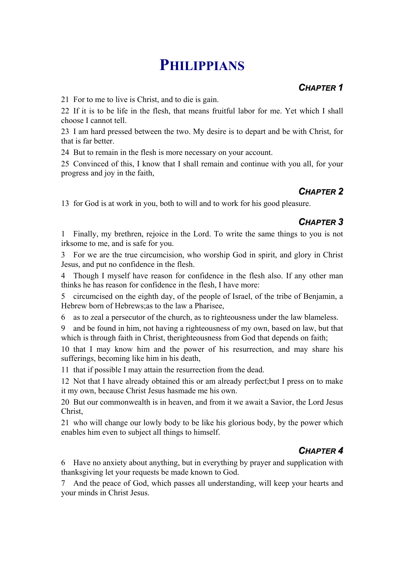## **PHILIPPIANS**

## *CHAPTER 1*

21 For to me to live is Christ, and to die is gain.

22 If it is to be life in the flesh, that means fruitful labor for me. Yet which I shall choose I cannot tell.

23 I am hard pressed between the two. My desire is to depart and be with Christ, for that is far better.

24 But to remain in the flesh is more necessary on your account.

25 Convinced of this, I know that I shall remain and continue with you all, for your progress and joy in the faith,

#### *CHAPTER 2*

13 for God is at work in you, both to will and to work for his good pleasure.

## *CHAPTER 3*

1 Finally, my brethren, rejoice in the Lord. To write the same things to you is not irksome to me, and is safe for you.

3 For we are the true circumcision, who worship God in spirit, and glory in Christ Jesus, and put no confidence in the flesh.

4 Though I myself have reason for confidence in the flesh also. If any other man thinks he has reason for confidence in the flesh, I have more:

5 circumcised on the eighth day, of the people of Israel, of the tribe of Benjamin, a Hebrew born of Hebrews;as to the law a Pharisee,

6 as to zeal a persecutor of the church, as to righteousness under the law blameless.

9 and be found in him, not having a righteousness of my own, based on law, but that which is through faith in Christ, therighteousness from God that depends on faith;

10 that I may know him and the power of his resurrection, and may share his sufferings, becoming like him in his death,

11 that if possible I may attain the resurrection from the dead.

12 Not that I have already obtained this or am already perfect;but I press on to make it my own, because Christ Jesus hasmade me his own.

20 But our commonwealth is in heaven, and from it we await a Savior, the Lord Jesus Christ,

21 who will change our lowly body to be like his glorious body, by the power which enables him even to subject all things to himself.

## *CHAPTER 4*

6 Have no anxiety about anything, but in everything by prayer and supplication with thanksgiving let your requests be made known to God.

7 And the peace of God, which passes all understanding, will keep your hearts and your minds in Christ Jesus.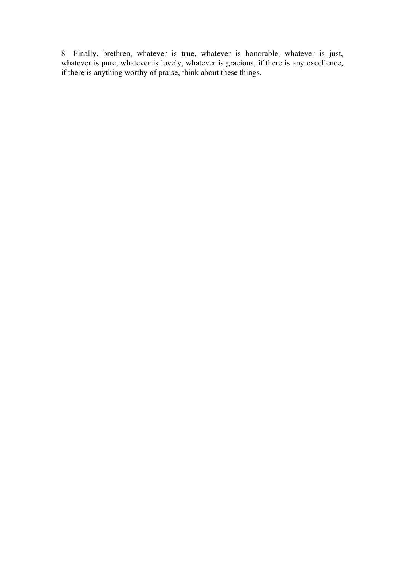8 Finally, brethren, whatever is true, whatever is honorable, whatever is just, whatever is pure, whatever is lovely, whatever is gracious, if there is any excellence, if there is anything worthy of praise, think about these things.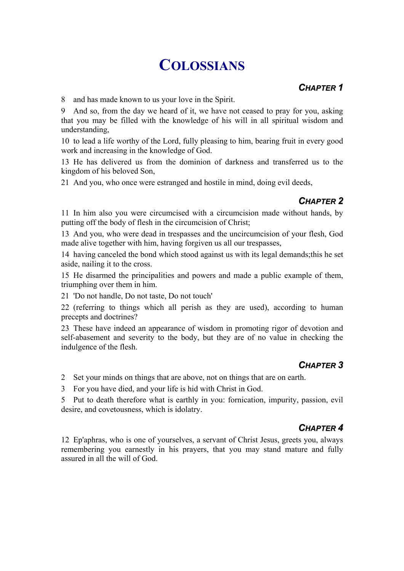## **COLOSSIANS**

#### *CHAPTER 1*

8 and has made known to us your love in the Spirit.

9 And so, from the day we heard of it, we have not ceased to pray for you, asking that you may be filled with the knowledge of his will in all spiritual wisdom and understanding,

10 to lead a life worthy of the Lord, fully pleasing to him, bearing fruit in every good work and increasing in the knowledge of God.

13 He has delivered us from the dominion of darkness and transferred us to the kingdom of his beloved Son,

21 And you, who once were estranged and hostile in mind, doing evil deeds,

#### *CHAPTER 2*

11 In him also you were circumcised with a circumcision made without hands, by putting off the body of flesh in the circumcision of Christ;

13 And you, who were dead in trespasses and the uncircumcision of your flesh, God made alive together with him, having forgiven us all our trespasses,

14 having canceled the bond which stood against us with its legal demands;this he set aside, nailing it to the cross.

15 He disarmed the principalities and powers and made a public example of them, triumphing over them in him.

21 'Do not handle, Do not taste, Do not touch'

22 (referring to things which all perish as they are used), according to human precepts and doctrines?

23 These have indeed an appearance of wisdom in promoting rigor of devotion and self-abasement and severity to the body, but they are of no value in checking the indulgence of the flesh.

## *CHAPTER 3*

2 Set your minds on things that are above, not on things that are on earth.

3 For you have died, and your life is hid with Christ in God.

5 Put to death therefore what is earthly in you: fornication, impurity, passion, evil desire, and covetousness, which is idolatry.

#### *CHAPTER 4*

12 Ep'aphras, who is one of yourselves, a servant of Christ Jesus, greets you, always remembering you earnestly in his prayers, that you may stand mature and fully assured in all the will of God.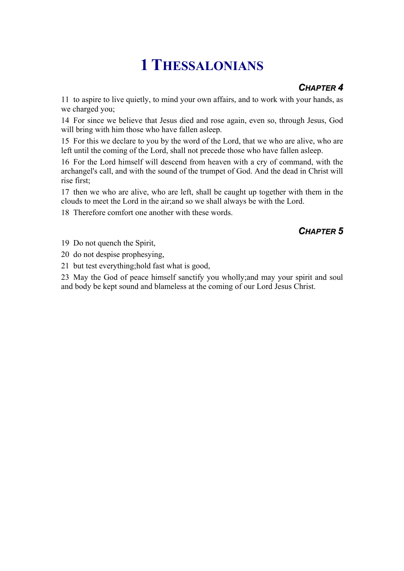# **1 THESSALONIANS**

## *CHAPTER 4*

11 to aspire to live quietly, to mind your own affairs, and to work with your hands, as we charged you;

14 For since we believe that Jesus died and rose again, even so, through Jesus, God will bring with him those who have fallen asleep.

15 For this we declare to you by the word of the Lord, that we who are alive, who are left until the coming of the Lord, shall not precede those who have fallen asleep.

16 For the Lord himself will descend from heaven with a cry of command, with the archangel's call, and with the sound of the trumpet of God. And the dead in Christ will rise first;

17 then we who are alive, who are left, shall be caught up together with them in the clouds to meet the Lord in the air;and so we shall always be with the Lord.

18 Therefore comfort one another with these words.

#### *CHAPTER 5*

19 Do not quench the Spirit,

20 do not despise prophesying,

21 but test everything;hold fast what is good,

23 May the God of peace himself sanctify you wholly;and may your spirit and soul and body be kept sound and blameless at the coming of our Lord Jesus Christ.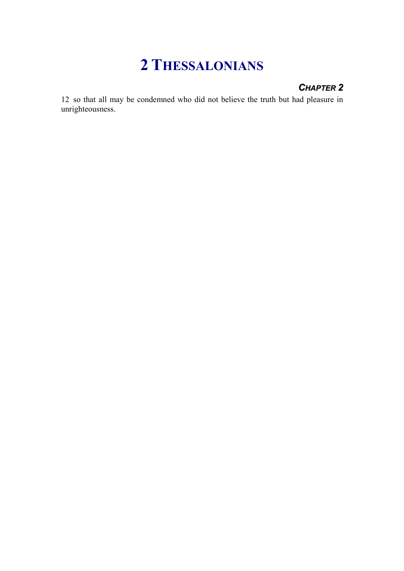## **2 THESSALONIANS**

#### *CHAPTER 2*

12 so that all may be condemned who did not believe the truth but had pleasure in unrighteousness.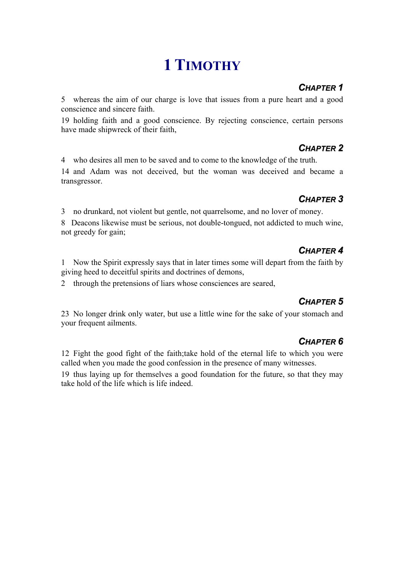# **1 TIMOTHY**

## *CHAPTER 1*

5 whereas the aim of our charge is love that issues from a pure heart and a good conscience and sincere faith.

19 holding faith and a good conscience. By rejecting conscience, certain persons have made shipwreck of their faith,

#### *CHAPTER 2*

4 who desires all men to be saved and to come to the knowledge of the truth.

14 and Adam was not deceived, but the woman was deceived and became a transgressor.

## *CHAPTER 3*

3 no drunkard, not violent but gentle, not quarrelsome, and no lover of money.

8 Deacons likewise must be serious, not double-tongued, not addicted to much wine, not greedy for gain;

## *CHAPTER 4*

1 Now the Spirit expressly says that in later times some will depart from the faith by giving heed to deceitful spirits and doctrines of demons,

2 through the pretensions of liars whose consciences are seared,

## *CHAPTER 5*

23 No longer drink only water, but use a little wine for the sake of your stomach and your frequent ailments.

## *CHAPTER 6*

12 Fight the good fight of the faith;take hold of the eternal life to which you were called when you made the good confession in the presence of many witnesses.

19 thus laying up for themselves a good foundation for the future, so that they may take hold of the life which is life indeed.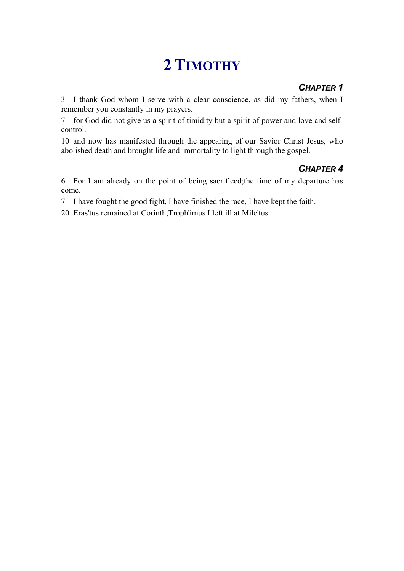# **2 TIMOTHY**

## *CHAPTER 1*

3 I thank God whom I serve with a clear conscience, as did my fathers, when I remember you constantly in my prayers.

7 for God did not give us a spirit of timidity but a spirit of power and love and selfcontrol.

10 and now has manifested through the appearing of our Savior Christ Jesus, who abolished death and brought life and immortality to light through the gospel.

## *CHAPTER 4*

6 For I am already on the point of being sacrificed;the time of my departure has come.

7 I have fought the good fight, I have finished the race, I have kept the faith.

20 Eras'tus remained at Corinth;Troph'imus I left ill at Mile'tus.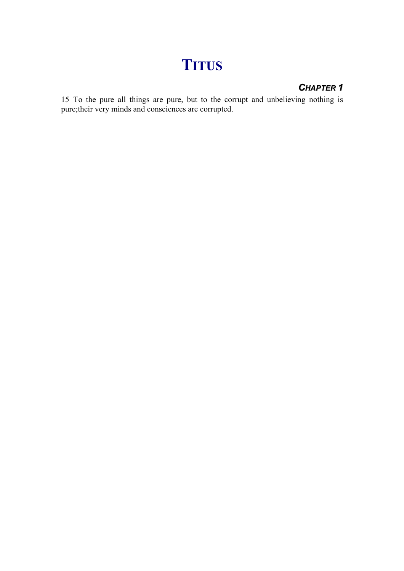# **TITUS**

### *CHAPTER 1*

15 To the pure all things are pure, but to the corrupt and unbelieving nothing is pure;their very minds and consciences are corrupted.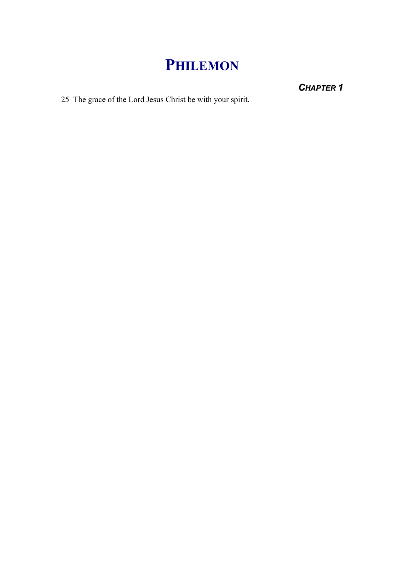# **PHILEMON**

*CHAPTER 1*

25 The grace of the Lord Jesus Christ be with your spirit.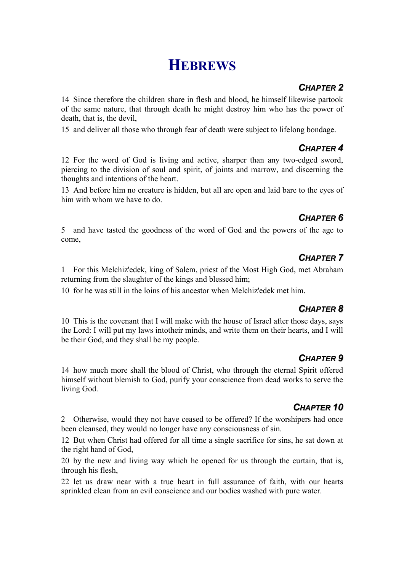## **HEBREWS**

### *CHAPTER 2*

14 Since therefore the children share in flesh and blood, he himself likewise partook of the same nature, that through death he might destroy him who has the power of death, that is, the devil,

15 and deliver all those who through fear of death were subject to lifelong bondage.

### *CHAPTER 4*

12 For the word of God is living and active, sharper than any two-edged sword, piercing to the division of soul and spirit, of joints and marrow, and discerning the thoughts and intentions of the heart.

13 And before him no creature is hidden, but all are open and laid bare to the eyes of him with whom we have to do.

### *CHAPTER 6*

5 and have tasted the goodness of the word of God and the powers of the age to come,

## *CHAPTER 7*

1 For this Melchiz'edek, king of Salem, priest of the Most High God, met Abraham returning from the slaughter of the kings and blessed him;

10 for he was still in the loins of his ancestor when Melchiz'edek met him.

### *CHAPTER 8*

10 This is the covenant that I will make with the house of Israel after those days, says the Lord: I will put my laws intotheir minds, and write them on their hearts, and I will be their God, and they shall be my people.

### *CHAPTER 9*

14 how much more shall the blood of Christ, who through the eternal Spirit offered himself without blemish to God, purify your conscience from dead works to serve the living God.

## *CHAPTER 10*

2 Otherwise, would they not have ceased to be offered? If the worshipers had once been cleansed, they would no longer have any consciousness of sin.

12 But when Christ had offered for all time a single sacrifice for sins, he sat down at the right hand of God,

20 by the new and living way which he opened for us through the curtain, that is, through his flesh,

22 let us draw near with a true heart in full assurance of faith, with our hearts sprinkled clean from an evil conscience and our bodies washed with pure water.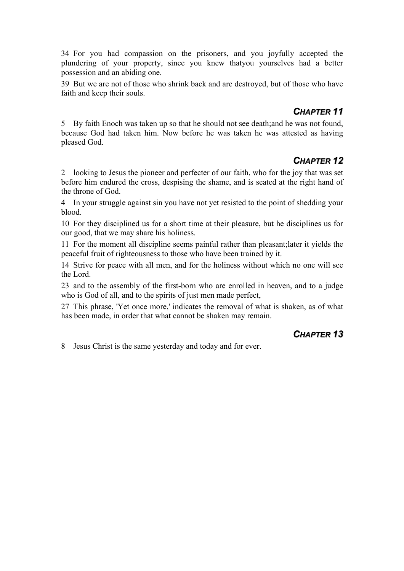34 For you had compassion on the prisoners, and you joyfully accepted the plundering of your property, since you knew thatyou yourselves had a better possession and an abiding one.

39 But we are not of those who shrink back and are destroyed, but of those who have faith and keep their souls.

#### *CHAPTER 11*

5 By faith Enoch was taken up so that he should not see death;and he was not found, because God had taken him. Now before he was taken he was attested as having pleased God.

#### *CHAPTER 12*

2 looking to Jesus the pioneer and perfecter of our faith, who for the joy that was set before him endured the cross, despising the shame, and is seated at the right hand of the throne of God.

4 In your struggle against sin you have not yet resisted to the point of shedding your blood.

10 For they disciplined us for a short time at their pleasure, but he disciplines us for our good, that we may share his holiness.

11 For the moment all discipline seems painful rather than pleasant;later it yields the peaceful fruit of righteousness to those who have been trained by it.

14 Strive for peace with all men, and for the holiness without which no one will see the Lord.

23 and to the assembly of the first-born who are enrolled in heaven, and to a judge who is God of all, and to the spirits of just men made perfect,

27 This phrase, 'Yet once more,' indicates the removal of what is shaken, as of what has been made, in order that what cannot be shaken may remain.

#### *CHAPTER 13*

8 Jesus Christ is the same yesterday and today and for ever.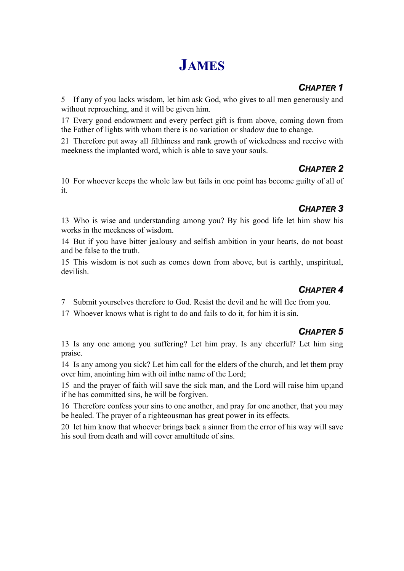# **JAMES**

### *CHAPTER 1*

5 If any of you lacks wisdom, let him ask God, who gives to all men generously and without reproaching, and it will be given him.

17 Every good endowment and every perfect gift is from above, coming down from the Father of lights with whom there is no variation or shadow due to change.

21 Therefore put away all filthiness and rank growth of wickedness and receive with meekness the implanted word, which is able to save your souls.

### *CHAPTER 2*

10 For whoever keeps the whole law but fails in one point has become guilty of all of it.

## *CHAPTER 3*

13 Who is wise and understanding among you? By his good life let him show his works in the meekness of wisdom.

14 But if you have bitter jealousy and selfish ambition in your hearts, do not boast and be false to the truth.

15 This wisdom is not such as comes down from above, but is earthly, unspiritual, devilish.

### *CHAPTER 4*

7 Submit yourselves therefore to God. Resist the devil and he will flee from you.

17 Whoever knows what is right to do and fails to do it, for him it is sin.

### *CHAPTER 5*

13 Is any one among you suffering? Let him pray. Is any cheerful? Let him sing praise.

14 Is any among you sick? Let him call for the elders of the church, and let them pray over him, anointing him with oil inthe name of the Lord;

15 and the prayer of faith will save the sick man, and the Lord will raise him up;and if he has committed sins, he will be forgiven.

16 Therefore confess your sins to one another, and pray for one another, that you may be healed. The prayer of a righteousman has great power in its effects.

20 let him know that whoever brings back a sinner from the error of his way will save his soul from death and will cover amultitude of sins.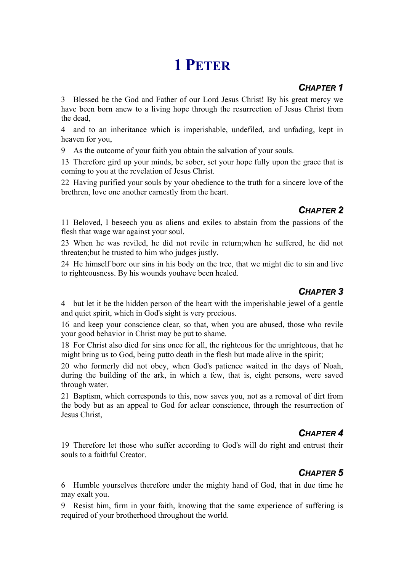# **1 PETER**

#### *CHAPTER 1*

3 Blessed be the God and Father of our Lord Jesus Christ! By his great mercy we have been born anew to a living hope through the resurrection of Jesus Christ from the dead,

4 and to an inheritance which is imperishable, undefiled, and unfading, kept in heaven for you,

9 As the outcome of your faith you obtain the salvation of your souls.

13 Therefore gird up your minds, be sober, set your hope fully upon the grace that is coming to you at the revelation of Jesus Christ.

22 Having purified your souls by your obedience to the truth for a sincere love of the brethren, love one another earnestly from the heart.

### *CHAPTER 2*

11 Beloved, I beseech you as aliens and exiles to abstain from the passions of the flesh that wage war against your soul.

23 When he was reviled, he did not revile in return;when he suffered, he did not threaten;but he trusted to him who judges justly.

24 He himself bore our sins in his body on the tree, that we might die to sin and live to righteousness. By his wounds youhave been healed.

## *CHAPTER 3*

4 but let it be the hidden person of the heart with the imperishable jewel of a gentle and quiet spirit, which in God's sight is very precious.

16 and keep your conscience clear, so that, when you are abused, those who revile your good behavior in Christ may be put to shame.

18 For Christ also died for sins once for all, the righteous for the unrighteous, that he might bring us to God, being putto death in the flesh but made alive in the spirit;

20 who formerly did not obey, when God's patience waited in the days of Noah, during the building of the ark, in which a few, that is, eight persons, were saved through water.

21 Baptism, which corresponds to this, now saves you, not as a removal of dirt from the body but as an appeal to God for aclear conscience, through the resurrection of Jesus Christ,

## *CHAPTER 4*

19 Therefore let those who suffer according to God's will do right and entrust their souls to a faithful Creator.

## *CHAPTER 5*

6 Humble yourselves therefore under the mighty hand of God, that in due time he may exalt you.

9 Resist him, firm in your faith, knowing that the same experience of suffering is required of your brotherhood throughout the world.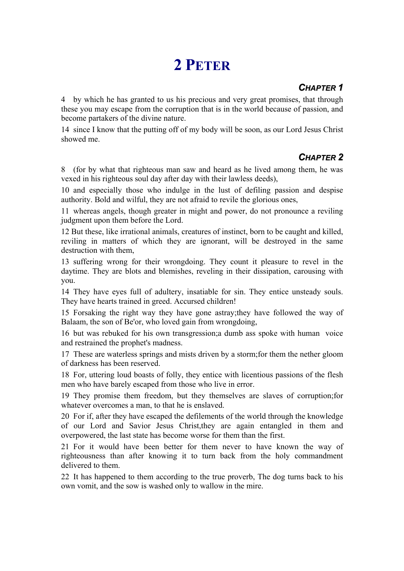# **2 PETER**

### *CHAPTER 1*

4 by which he has granted to us his precious and very great promises, that through these you may escape from the corruption that is in the world because of passion, and become partakers of the divine nature.

14 since I know that the putting off of my body will be soon, as our Lord Jesus Christ showed me.

### *CHAPTER 2*

8 (for by what that righteous man saw and heard as he lived among them, he was vexed in his righteous soul day after day with their lawless deeds),

10 and especially those who indulge in the lust of defiling passion and despise authority. Bold and wilful, they are not afraid to revile the glorious ones,

11 whereas angels, though greater in might and power, do not pronounce a reviling judgment upon them before the Lord.

12 But these, like irrational animals, creatures of instinct, born to be caught and killed, reviling in matters of which they are ignorant, will be destroyed in the same destruction with them,

13 suffering wrong for their wrongdoing. They count it pleasure to revel in the daytime. They are blots and blemishes, reveling in their dissipation, carousing with you.

14 They have eyes full of adultery, insatiable for sin. They entice unsteady souls. They have hearts trained in greed. Accursed children!

15 Forsaking the right way they have gone astray;they have followed the way of Balaam, the son of Be'or, who loved gain from wrongdoing,

16 but was rebuked for his own transgression;a dumb ass spoke with human voice and restrained the prophet's madness.

17 These are waterless springs and mists driven by a storm;for them the nether gloom of darkness has been reserved.

18 For, uttering loud boasts of folly, they entice with licentious passions of the flesh men who have barely escaped from those who live in error.

19 They promise them freedom, but they themselves are slaves of corruption;for whatever overcomes a man, to that he is enslaved.

20 For if, after they have escaped the defilements of the world through the knowledge of our Lord and Savior Jesus Christ,they are again entangled in them and overpowered, the last state has become worse for them than the first.

21 For it would have been better for them never to have known the way of righteousness than after knowing it to turn back from the holy commandment delivered to them.

22 It has happened to them according to the true proverb, The dog turns back to his own vomit, and the sow is washed only to wallow in the mire.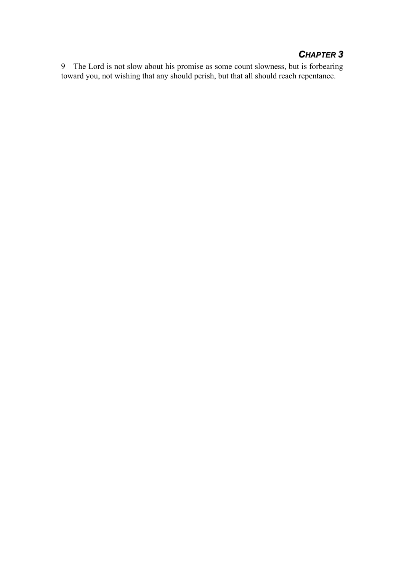### *CHAPTER 3*

9 The Lord is not slow about his promise as some count slowness, but is forbearing toward you, not wishing that any should perish, but that all should reach repentance.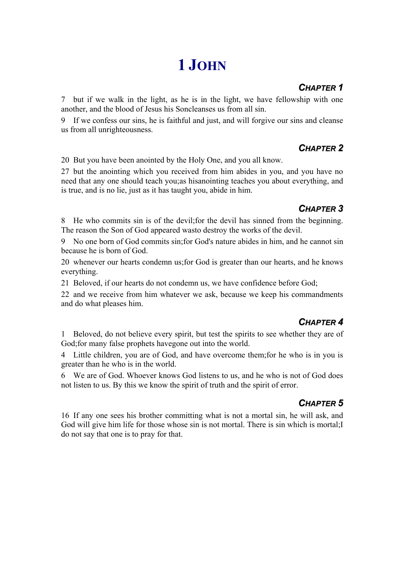# **1 JOHN**

### *CHAPTER 1*

7 but if we walk in the light, as he is in the light, we have fellowship with one another, and the blood of Jesus his Soncleanses us from all sin.

9 If we confess our sins, he is faithful and just, and will forgive our sins and cleanse us from all unrighteousness.

### *CHAPTER 2*

20 But you have been anointed by the Holy One, and you all know.

27 but the anointing which you received from him abides in you, and you have no need that any one should teach you;as hisanointing teaches you about everything, and is true, and is no lie, just as it has taught you, abide in him.

### *CHAPTER 3*

8 He who commits sin is of the devil;for the devil has sinned from the beginning. The reason the Son of God appeared wasto destroy the works of the devil.

9 No one born of God commits sin;for God's nature abides in him, and he cannot sin because he is born of God.

20 whenever our hearts condemn us;for God is greater than our hearts, and he knows everything.

21 Beloved, if our hearts do not condemn us, we have confidence before God;

22 and we receive from him whatever we ask, because we keep his commandments and do what pleases him.

### *CHAPTER 4*

1 Beloved, do not believe every spirit, but test the spirits to see whether they are of God;for many false prophets havegone out into the world.

4 Little children, you are of God, and have overcome them;for he who is in you is greater than he who is in the world.

6 We are of God. Whoever knows God listens to us, and he who is not of God does not listen to us. By this we know the spirit of truth and the spirit of error.

### *CHAPTER 5*

16 If any one sees his brother committing what is not a mortal sin, he will ask, and God will give him life for those whose sin is not mortal. There is sin which is mortal;I do not say that one is to pray for that.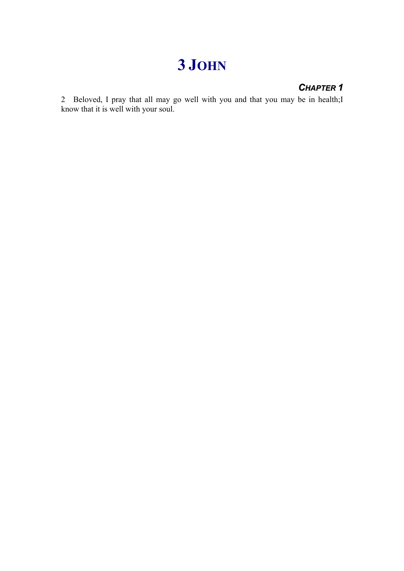# **3 JOHN**

## *CHAPTER 1*

2 Beloved, I pray that all may go well with you and that you may be in health;I know that it is well with your soul.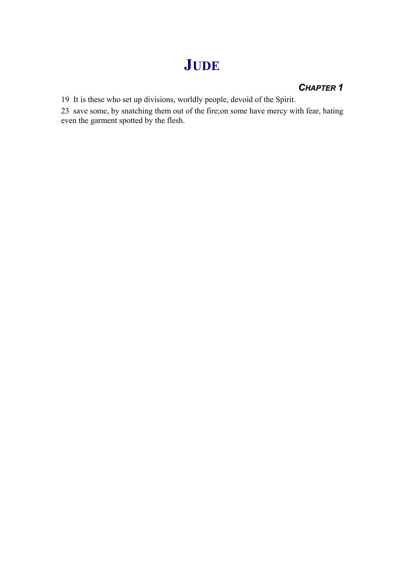# **JUDE**

#### *CHAPTER 1*

19 It is these who set up divisions, worldly people, devoid of the Spirit.

23 save some, by snatching them out of the fire;on some have mercy with fear, hating even the garment spotted by the flesh.